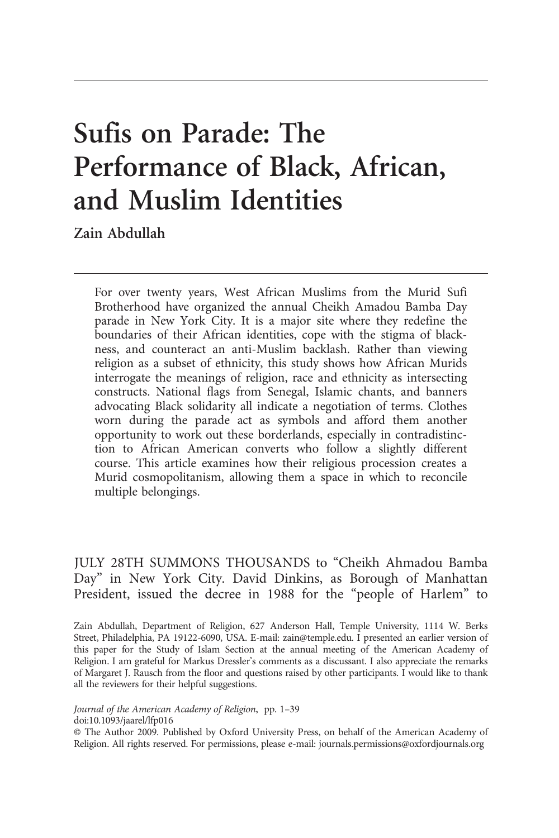# Sufis on Parade: The Performance of Black, African, and Muslim Identities

Zain Abdullah

For over twenty years, West African Muslims from the Murid Sufi Brotherhood have organized the annual Cheikh Amadou Bamba Day parade in New York City. It is a major site where they redefine the boundaries of their African identities, cope with the stigma of blackness, and counteract an anti-Muslim backlash. Rather than viewing religion as a subset of ethnicity, this study shows how African Murids interrogate the meanings of religion, race and ethnicity as intersecting constructs. National flags from Senegal, Islamic chants, and banners advocating Black solidarity all indicate a negotiation of terms. Clothes worn during the parade act as symbols and afford them another opportunity to work out these borderlands, especially in contradistinction to African American converts who follow a slightly different course. This article examines how their religious procession creates a Murid cosmopolitanism, allowing them a space in which to reconcile multiple belongings.

## JULY 28TH SUMMONS THOUSANDS to "Cheikh Ahmadou Bamba Day" in New York City. David Dinkins, as Borough of Manhattan President, issued the decree in 1988 for the "people of Harlem" to

Zain Abdullah, Department of Religion, 627 Anderson Hall, Temple University, 1114 W. Berks Street, Philadelphia, PA 19122-6090, USA. E-mail: zain@temple.edu. I presented an earlier version of this paper for the Study of Islam Section at the annual meeting of the American Academy of Religion. I am grateful for Markus Dressler's comments as a discussant. I also appreciate the remarks of Margaret J. Rausch from the floor and questions raised by other participants. I would like to thank all the reviewers for their helpful suggestions.

Journal of the American Academy of Religion, pp. 1–39 doi:10.1093/jaarel/lfp016

© The Author 2009. Published by Oxford University Press, on behalf of the American Academy of Religion. All rights reserved. For permissions, please e-mail: journals.permissions@oxfordjournals.org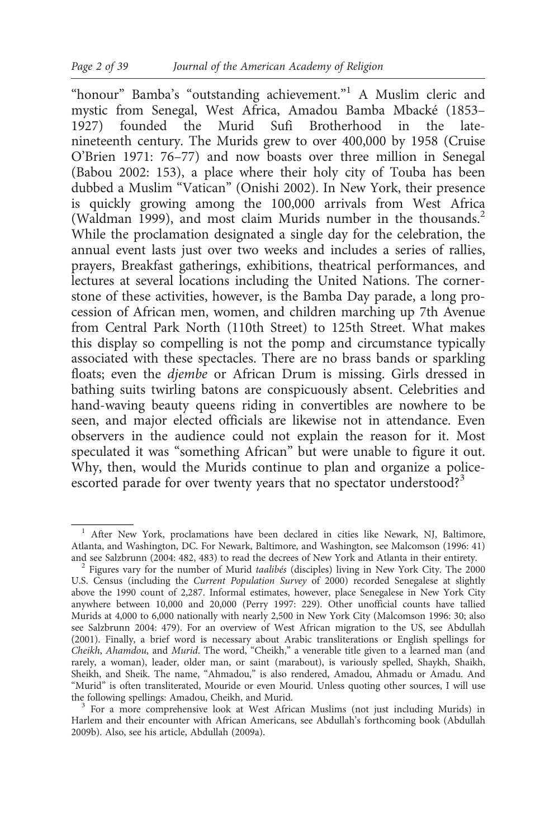"honour" Bamba's "outstanding achievement."<sup>1</sup> A Muslim cleric and mystic from Senegal, West Africa, Amadou Bamba Mbacké (1853– 1927) founded the Murid Sufi Brotherhood in the latenineteenth century. The Murids grew to over 400,000 by 1958 (Cruise O'Brien 1971: 76–77) and now boasts over three million in Senegal (Babou 2002: 153), a place where their holy city of Touba has been dubbed a Muslim "Vatican" (Onishi 2002). In New York, their presence is quickly growing among the 100,000 arrivals from West Africa (Waldman 1999), and most claim Murids number in the thousands.<sup>2</sup> While the proclamation designated a single day for the celebration, the annual event lasts just over two weeks and includes a series of rallies, prayers, Breakfast gatherings, exhibitions, theatrical performances, and lectures at several locations including the United Nations. The cornerstone of these activities, however, is the Bamba Day parade, a long procession of African men, women, and children marching up 7th Avenue from Central Park North (110th Street) to 125th Street. What makes this display so compelling is not the pomp and circumstance typically associated with these spectacles. There are no brass bands or sparkling floats; even the djembe or African Drum is missing. Girls dressed in bathing suits twirling batons are conspicuously absent. Celebrities and hand-waving beauty queens riding in convertibles are nowhere to be seen, and major elected officials are likewise not in attendance. Even observers in the audience could not explain the reason for it. Most speculated it was "something African" but were unable to figure it out. Why, then, would the Murids continue to plan and organize a policeescorted parade for over twenty years that no spectator understood?<sup>3</sup>

 $1$  After New York, proclamations have been declared in cities like Newark, NJ, Baltimore, Atlanta, and Washington, DC. For Newark, Baltimore, and Washington, see Malcomson (1996: 41)

 $2$  Figures vary for the number of Murid *taalibés* (disciples) living in New York City. The 2000 U.S. Census (including the Current Population Survey of 2000) recorded Senegalese at slightly above the 1990 count of 2,287. Informal estimates, however, place Senegalese in New York City anywhere between 10,000 and 20,000 (Perry 1997: 229). Other unofficial counts have tallied Murids at 4,000 to 6,000 nationally with nearly 2,500 in New York City (Malcomson 1996: 30; also see Salzbrunn 2004: 479). For an overview of West African migration to the US, see Abdullah (2001). Finally, a brief word is necessary about Arabic transliterations or English spellings for Cheikh, Ahamdou, and Murid. The word, "Cheikh," a venerable title given to a learned man (and rarely, a woman), leader, older man, or saint (marabout), is variously spelled, Shaykh, Shaikh, Sheikh, and Sheik. The name, "Ahmadou," is also rendered, Amadou, Ahmadu or Amadu. And "Murid" is often transliterated, Mouride or even Mourid. Unless quoting other sources, I will use

 $\frac{3}{3}$  For a more comprehensive look at West African Muslims (not just including Murids) in Harlem and their encounter with African Americans, see Abdullah's forthcoming book (Abdullah 2009b). Also, see his article, Abdullah (2009a).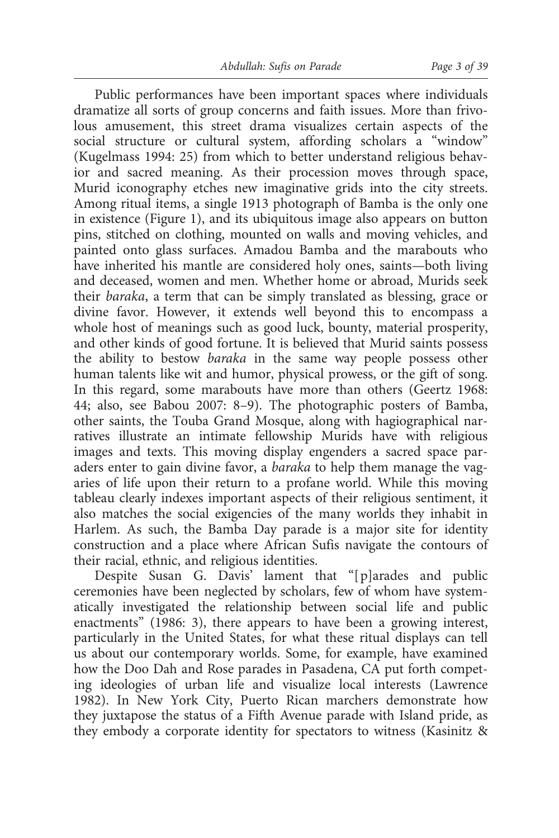Public performances have been important spaces where individuals dramatize all sorts of group concerns and faith issues. More than frivolous amusement, this street drama visualizes certain aspects of the social structure or cultural system, affording scholars a "window" (Kugelmass 1994: 25) from which to better understand religious behavior and sacred meaning. As their procession moves through space, Murid iconography etches new imaginative grids into the city streets. Among ritual items, a single 1913 photograph of Bamba is the only one in existence (Figure 1), and its ubiquitous image also appears on button pins, stitched on clothing, mounted on walls and moving vehicles, and painted onto glass surfaces. Amadou Bamba and the marabouts who have inherited his mantle are considered holy ones, saints—both living and deceased, women and men. Whether home or abroad, Murids seek their baraka, a term that can be simply translated as blessing, grace or divine favor. However, it extends well beyond this to encompass a whole host of meanings such as good luck, bounty, material prosperity, and other kinds of good fortune. It is believed that Murid saints possess the ability to bestow baraka in the same way people possess other human talents like wit and humor, physical prowess, or the gift of song. In this regard, some marabouts have more than others (Geertz 1968: 44; also, see Babou 2007: 8–9). The photographic posters of Bamba, other saints, the Touba Grand Mosque, along with hagiographical narratives illustrate an intimate fellowship Murids have with religious images and texts. This moving display engenders a sacred space paraders enter to gain divine favor, a baraka to help them manage the vagaries of life upon their return to a profane world. While this moving tableau clearly indexes important aspects of their religious sentiment, it also matches the social exigencies of the many worlds they inhabit in Harlem. As such, the Bamba Day parade is a major site for identity construction and a place where African Sufis navigate the contours of their racial, ethnic, and religious identities.

Despite Susan G. Davis' lament that "[ p]arades and public ceremonies have been neglected by scholars, few of whom have systematically investigated the relationship between social life and public enactments" (1986: 3), there appears to have been a growing interest, particularly in the United States, for what these ritual displays can tell us about our contemporary worlds. Some, for example, have examined how the Doo Dah and Rose parades in Pasadena, CA put forth competing ideologies of urban life and visualize local interests (Lawrence 1982). In New York City, Puerto Rican marchers demonstrate how they juxtapose the status of a Fifth Avenue parade with Island pride, as they embody a corporate identity for spectators to witness (Kasinitz &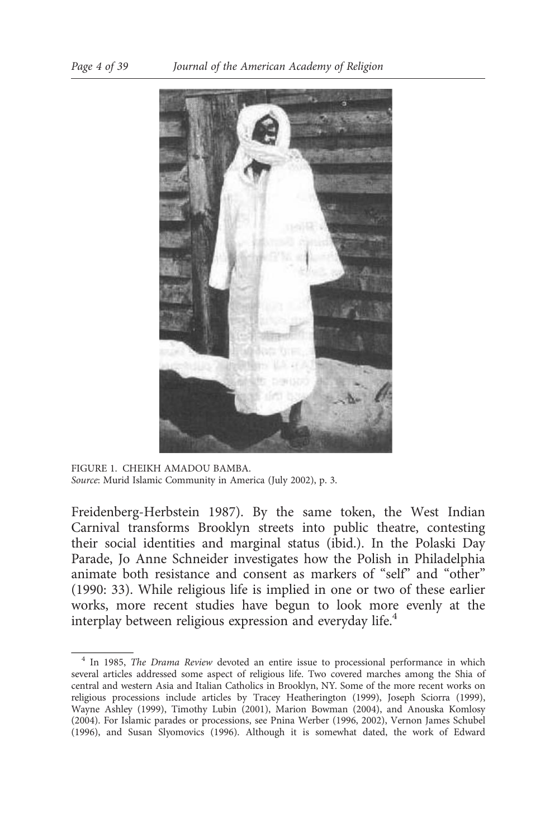

FIGURE 1. CHEIKH AMADOU BAMBA. Source: Murid Islamic Community in America (July 2002), p. 3.

Freidenberg-Herbstein 1987). By the same token, the West Indian Carnival transforms Brooklyn streets into public theatre, contesting their social identities and marginal status (ibid.). In the Polaski Day Parade, Jo Anne Schneider investigates how the Polish in Philadelphia animate both resistance and consent as markers of "self" and "other" (1990: 33). While religious life is implied in one or two of these earlier works, more recent studies have begun to look more evenly at the interplay between religious expression and everyday life.<sup>4</sup>

<sup>&</sup>lt;sup>4</sup> In 1985, *The Drama Review* devoted an entire issue to processional performance in which several articles addressed some aspect of religious life. Two covered marches among the Shia of central and western Asia and Italian Catholics in Brooklyn, NY. Some of the more recent works on religious processions include articles by Tracey Heatherington (1999), Joseph Sciorra (1999), Wayne Ashley (1999), Timothy Lubin (2001), Marion Bowman (2004), and Anouska Komlosy (2004). For Islamic parades or processions, see Pnina Werber (1996, 2002), Vernon James Schubel (1996), and Susan Slyomovics (1996). Although it is somewhat dated, the work of Edward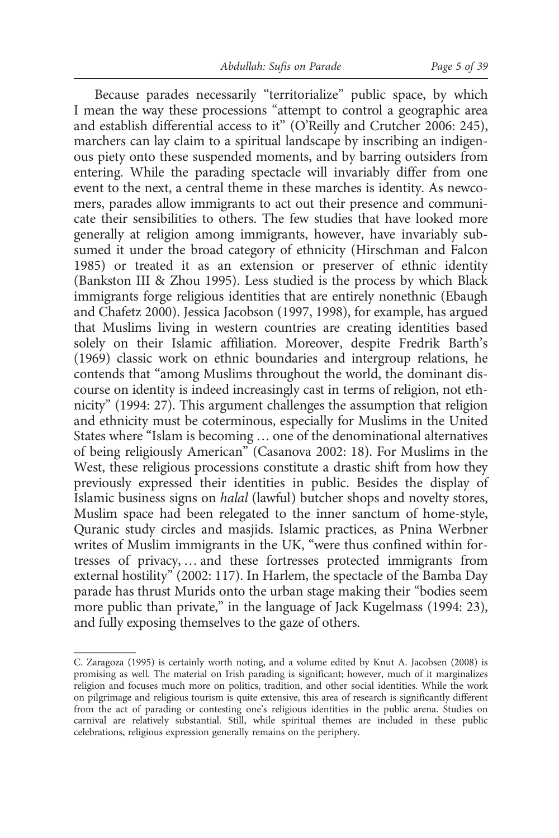Because parades necessarily "territorialize" public space, by which I mean the way these processions "attempt to control a geographic area and establish differential access to it" (O'Reilly and Crutcher 2006: 245), marchers can lay claim to a spiritual landscape by inscribing an indigenous piety onto these suspended moments, and by barring outsiders from entering. While the parading spectacle will invariably differ from one event to the next, a central theme in these marches is identity. As newcomers, parades allow immigrants to act out their presence and communicate their sensibilities to others. The few studies that have looked more generally at religion among immigrants, however, have invariably subsumed it under the broad category of ethnicity (Hirschman and Falcon 1985) or treated it as an extension or preserver of ethnic identity (Bankston III & Zhou 1995). Less studied is the process by which Black immigrants forge religious identities that are entirely nonethnic (Ebaugh and Chafetz 2000). Jessica Jacobson (1997, 1998), for example, has argued that Muslims living in western countries are creating identities based solely on their Islamic affiliation. Moreover, despite Fredrik Barth's (1969) classic work on ethnic boundaries and intergroup relations, he contends that "among Muslims throughout the world, the dominant discourse on identity is indeed increasingly cast in terms of religion, not ethnicity" (1994: 27). This argument challenges the assumption that religion and ethnicity must be coterminous, especially for Muslims in the United States where "Islam is becoming ... one of the denominational alternatives of being religiously American" (Casanova 2002: 18). For Muslims in the West, these religious processions constitute a drastic shift from how they previously expressed their identities in public. Besides the display of Islamic business signs on halal (lawful) butcher shops and novelty stores, Muslim space had been relegated to the inner sanctum of home-style, Quranic study circles and masjids. Islamic practices, as Pnina Werbner writes of Muslim immigrants in the UK, "were thus confined within fortresses of privacy, … and these fortresses protected immigrants from external hostility" (2002: 117). In Harlem, the spectacle of the Bamba Day parade has thrust Murids onto the urban stage making their "bodies seem more public than private," in the language of Jack Kugelmass (1994: 23), and fully exposing themselves to the gaze of others.

C. Zaragoza (1995) is certainly worth noting, and a volume edited by Knut A. Jacobsen (2008) is promising as well. The material on Irish parading is significant; however, much of it marginalizes religion and focuses much more on politics, tradition, and other social identities. While the work on pilgrimage and religious tourism is quite extensive, this area of research is significantly different from the act of parading or contesting one's religious identities in the public arena. Studies on carnival are relatively substantial. Still, while spiritual themes are included in these public celebrations, religious expression generally remains on the periphery.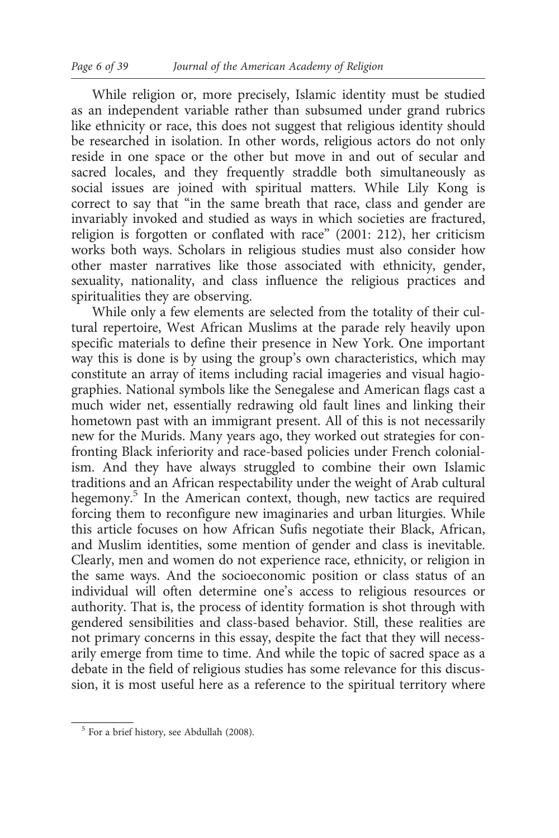While religion or, more precisely, Islamic identity must be studied as an independent variable rather than subsumed under grand rubrics like ethnicity or race, this does not suggest that religious identity should be researched in isolation. In other words, religious actors do not only reside in one space or the other but move in and out of secular and sacred locales, and they frequently straddle both simultaneously as social issues are joined with spiritual matters. While Lily Kong is correct to say that "in the same breath that race, class and gender are invariably invoked and studied as ways in which societies are fractured, religion is forgotten or conflated with race" (2001: 212), her criticism works both ways. Scholars in religious studies must also consider how other master narratives like those associated with ethnicity, gender, sexuality, nationality, and class influence the religious practices and spiritualities they are observing.

While only a few elements are selected from the totality of their cultural repertoire, West African Muslims at the parade rely heavily upon specific materials to define their presence in New York. One important way this is done is by using the group's own characteristics, which may constitute an array of items including racial imageries and visual hagiographies. National symbols like the Senegalese and American flags cast a much wider net, essentially redrawing old fault lines and linking their hometown past with an immigrant present. All of this is not necessarily new for the Murids. Many years ago, they worked out strategies for confronting Black inferiority and race-based policies under French colonialism. And they have always struggled to combine their own Islamic traditions and an African respectability under the weight of Arab cultural hegemony.<sup>5</sup> In the American context, though, new tactics are required forcing them to reconfigure new imaginaries and urban liturgies. While this article focuses on how African Sufis negotiate their Black, African, and Muslim identities, some mention of gender and class is inevitable. Clearly, men and women do not experience race, ethnicity, or religion in the same ways. And the socioeconomic position or class status of an individual will often determine one's access to religious resources or authority. That is, the process of identity formation is shot through with gendered sensibilities and class-based behavior. Still, these realities are not primary concerns in this essay, despite the fact that they will necessarily emerge from time to time. And while the topic of sacred space as a debate in the field of religious studies has some relevance for this discussion, it is most useful here as a reference to the spiritual territory where

<sup>5</sup> For a brief history, see Abdullah (2008).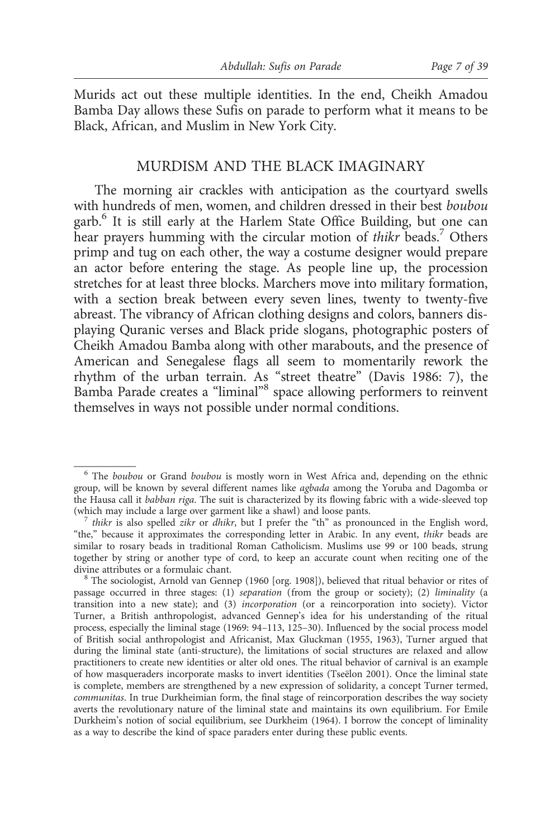Murids act out these multiple identities. In the end, Cheikh Amadou Bamba Day allows these Sufis on parade to perform what it means to be Black, African, and Muslim in New York City.

## MURDISM AND THE BLACK IMAGINARY

The morning air crackles with anticipation as the courtyard swells with hundreds of men, women, and children dressed in their best boubou garb.<sup>6</sup> It is still early at the Harlem State Office Building, but one can hear prayers humming with the circular motion of *thikr* beads.<sup>7</sup> Others primp and tug on each other, the way a costume designer would prepare an actor before entering the stage. As people line up, the procession stretches for at least three blocks. Marchers move into military formation, with a section break between every seven lines, twenty to twenty-five abreast. The vibrancy of African clothing designs and colors, banners displaying Quranic verses and Black pride slogans, photographic posters of Cheikh Amadou Bamba along with other marabouts, and the presence of American and Senegalese flags all seem to momentarily rework the rhythm of the urban terrain. As "street theatre" (Davis 1986: 7), the Bamba Parade creates a "liminal"<sup>8</sup> space allowing performers to reinvent themselves in ways not possible under normal conditions.

<sup>&</sup>lt;sup>6</sup> The boubou or Grand boubou is mostly worn in West Africa and, depending on the ethnic group, will be known by several different names like agbada among the Yoruba and Dagomba or the Hausa call it *babban riga*. The suit is characterized by its flowing fabric with a wide-sleeved top (which may include a large over garment like a shawl) and loose pants.

thikr is also spelled zikr or dhikr, but I prefer the "th" as pronounced in the English word, "the," because it approximates the corresponding letter in Arabic. In any event, thikr beads are similar to rosary beads in traditional Roman Catholicism. Muslims use 99 or 100 beads, strung together by string or another type of cord, to keep an accurate count when reciting one of the

 $\delta$  The sociologist, Arnold van Gennep (1960 [org. 1908]), believed that ritual behavior or rites of passage occurred in three stages: (1) separation (from the group or society); (2) liminality (a transition into a new state); and (3) incorporation (or a reincorporation into society). Victor Turner, a British anthropologist, advanced Gennep's idea for his understanding of the ritual process, especially the liminal stage (1969: 94–113, 125–30). Influenced by the social process model of British social anthropologist and Africanist, Max Gluckman (1955, 1963), Turner argued that during the liminal state (anti-structure), the limitations of social structures are relaxed and allow practitioners to create new identities or alter old ones. The ritual behavior of carnival is an example of how masqueraders incorporate masks to invert identities (Tseëlon 2001). Once the liminal state is complete, members are strengthened by a new expression of solidarity, a concept Turner termed, communitas. In true Durkheimian form, the final stage of reincorporation describes the way society averts the revolutionary nature of the liminal state and maintains its own equilibrium. For Emile Durkheim's notion of social equilibrium, see Durkheim (1964). I borrow the concept of liminality as a way to describe the kind of space paraders enter during these public events.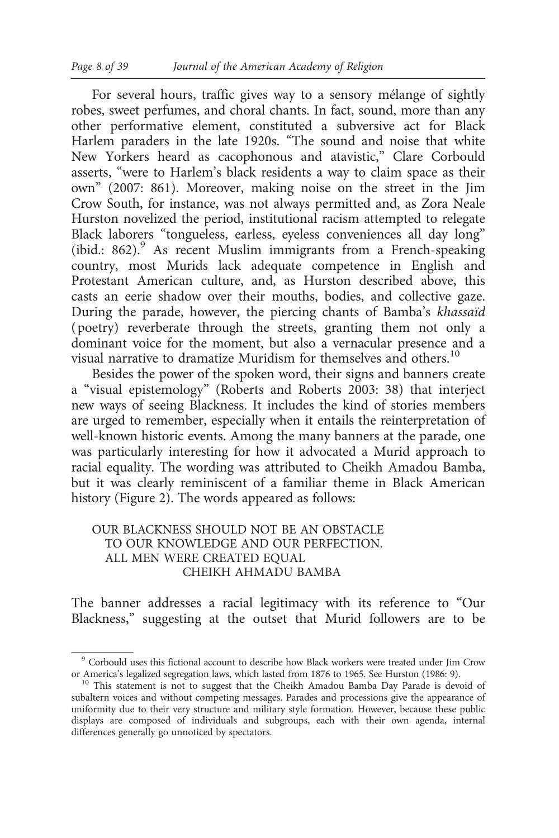For several hours, traffic gives way to a sensory mélange of sightly robes, sweet perfumes, and choral chants. In fact, sound, more than any other performative element, constituted a subversive act for Black Harlem paraders in the late 1920s. "The sound and noise that white New Yorkers heard as cacophonous and atavistic," Clare Corbould asserts, "were to Harlem's black residents a way to claim space as their own" (2007: 861). Moreover, making noise on the street in the Jim Crow South, for instance, was not always permitted and, as Zora Neale Hurston novelized the period, institutional racism attempted to relegate Black laborers "tongueless, earless, eyeless conveniences all day long" (ibid.: 862).<sup>9</sup> As recent Muslim immigrants from a French-speaking country, most Murids lack adequate competence in English and Protestant American culture, and, as Hurston described above, this casts an eerie shadow over their mouths, bodies, and collective gaze. During the parade, however, the piercing chants of Bamba's khassaïd ( poetry) reverberate through the streets, granting them not only a dominant voice for the moment, but also a vernacular presence and a visual narrative to dramatize Muridism for themselves and others.<sup>10</sup>

Besides the power of the spoken word, their signs and banners create a "visual epistemology" (Roberts and Roberts 2003: 38) that interject new ways of seeing Blackness. It includes the kind of stories members are urged to remember, especially when it entails the reinterpretation of well-known historic events. Among the many banners at the parade, one was particularly interesting for how it advocated a Murid approach to racial equality. The wording was attributed to Cheikh Amadou Bamba, but it was clearly reminiscent of a familiar theme in Black American history (Figure 2). The words appeared as follows:

#### OUR BLACKNESS SHOULD NOT BE AN OBSTACLE TO OUR KNOWLEDGE AND OUR PERFECTION. ALL MEN WERE CREATED EQUAL CHEIKH AHMADU BAMBA

The banner addresses a racial legitimacy with its reference to "Our Blackness," suggesting at the outset that Murid followers are to be

<sup>&</sup>lt;sup>9</sup> Corbould uses this fictional account to describe how Black workers were treated under Jim Crow or America's legalized segregation laws, which lasted from 1876 to 1965. See Hurston (1986: 9).

<sup>&</sup>lt;sup>10</sup> This statement is not to suggest that the Cheikh Amadou Bamba Day Parade is devoid of subaltern voices and without competing messages. Parades and processions give the appearance of uniformity due to their very structure and military style formation. However, because these public displays are composed of individuals and subgroups, each with their own agenda, internal differences generally go unnoticed by spectators.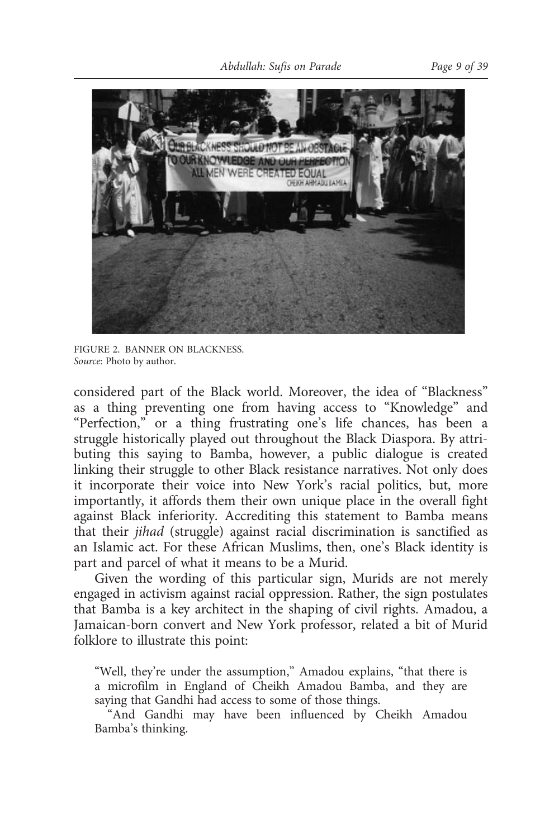

FIGURE 2. BANNER ON BLACKNESS. Source: Photo by author.

considered part of the Black world. Moreover, the idea of "Blackness" as a thing preventing one from having access to "Knowledge" and "Perfection," or a thing frustrating one's life chances, has been a struggle historically played out throughout the Black Diaspora. By attributing this saying to Bamba, however, a public dialogue is created linking their struggle to other Black resistance narratives. Not only does it incorporate their voice into New York's racial politics, but, more importantly, it affords them their own unique place in the overall fight against Black inferiority. Accrediting this statement to Bamba means that their jihad (struggle) against racial discrimination is sanctified as an Islamic act. For these African Muslims, then, one's Black identity is part and parcel of what it means to be a Murid.

Given the wording of this particular sign, Murids are not merely engaged in activism against racial oppression. Rather, the sign postulates that Bamba is a key architect in the shaping of civil rights. Amadou, a Jamaican-born convert and New York professor, related a bit of Murid folklore to illustrate this point:

"Well, they're under the assumption," Amadou explains, "that there is a microfilm in England of Cheikh Amadou Bamba, and they are saying that Gandhi had access to some of those things.

"And Gandhi may have been influenced by Cheikh Amadou Bamba's thinking.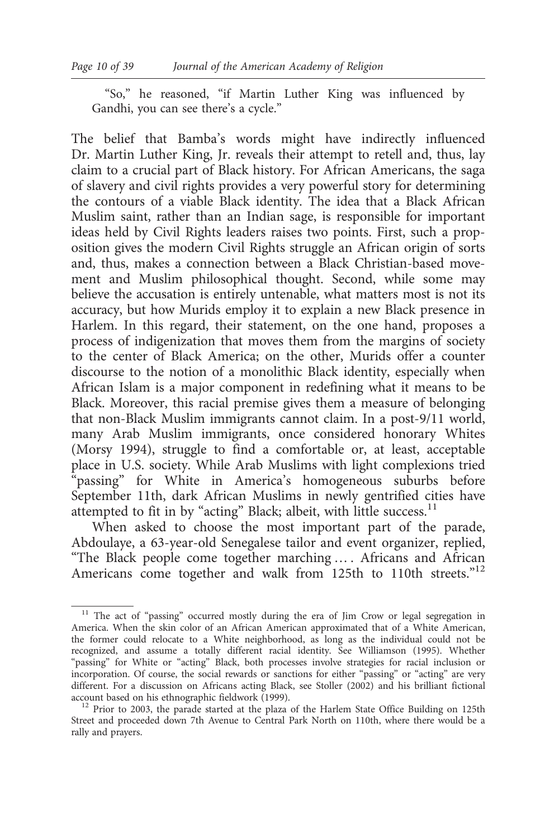"So," he reasoned, "if Martin Luther King was influenced by Gandhi, you can see there's a cycle."

The belief that Bamba's words might have indirectly influenced Dr. Martin Luther King, Jr. reveals their attempt to retell and, thus, lay claim to a crucial part of Black history. For African Americans, the saga of slavery and civil rights provides a very powerful story for determining the contours of a viable Black identity. The idea that a Black African Muslim saint, rather than an Indian sage, is responsible for important ideas held by Civil Rights leaders raises two points. First, such a proposition gives the modern Civil Rights struggle an African origin of sorts and, thus, makes a connection between a Black Christian-based movement and Muslim philosophical thought. Second, while some may believe the accusation is entirely untenable, what matters most is not its accuracy, but how Murids employ it to explain a new Black presence in Harlem. In this regard, their statement, on the one hand, proposes a process of indigenization that moves them from the margins of society to the center of Black America; on the other, Murids offer a counter discourse to the notion of a monolithic Black identity, especially when African Islam is a major component in redefining what it means to be Black. Moreover, this racial premise gives them a measure of belonging that non-Black Muslim immigrants cannot claim. In a post-9/11 world, many Arab Muslim immigrants, once considered honorary Whites (Morsy 1994), struggle to find a comfortable or, at least, acceptable place in U.S. society. While Arab Muslims with light complexions tried 'passing" for White in America's homogeneous suburbs before September 11th, dark African Muslims in newly gentrified cities have attempted to fit in by "acting" Black; albeit, with little success.<sup>11</sup>

When asked to choose the most important part of the parade, Abdoulaye, a 63-year-old Senegalese tailor and event organizer, replied, "The Black people come together marching … . Africans and African Americans come together and walk from 125th to 110th streets."<sup>12</sup>

<sup>&</sup>lt;sup>11</sup> The act of "passing" occurred mostly during the era of Jim Crow or legal segregation in America. When the skin color of an African American approximated that of a White American, the former could relocate to a White neighborhood, as long as the individual could not be recognized, and assume a totally different racial identity. See Williamson (1995). Whether "passing" for White or "acting" Black, both processes involve strategies for racial inclusion or incorporation. Of course, the social rewards or sanctions for either "passing" or "acting" are very different. For a discussion on Africans acting Black, see Stoller (2002) and his brilliant fictional account based on his ethnographic fieldwork (1999).

<sup>&</sup>lt;sup>12</sup> Prior to 2003, the parade started at the plaza of the Harlem State Office Building on 125th Street and proceeded down 7th Avenue to Central Park North on 110th, where there would be a rally and prayers.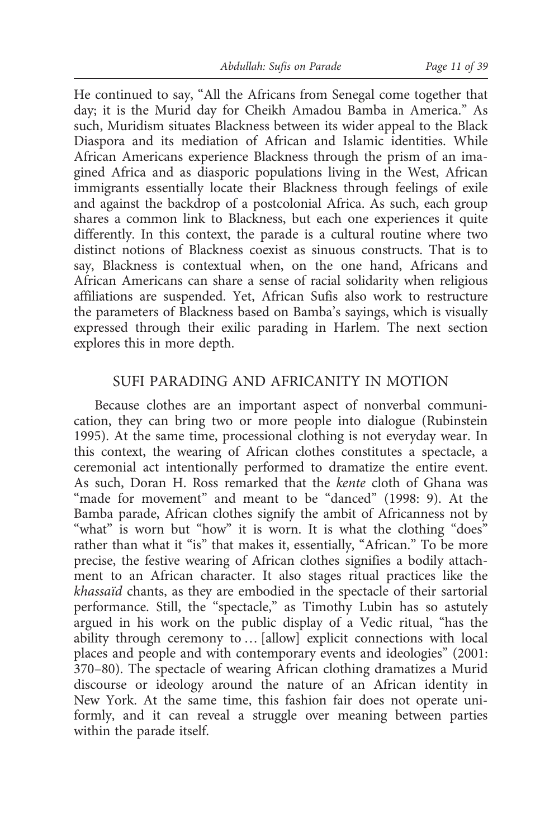He continued to say, "All the Africans from Senegal come together that day; it is the Murid day for Cheikh Amadou Bamba in America." As such, Muridism situates Blackness between its wider appeal to the Black Diaspora and its mediation of African and Islamic identities. While African Americans experience Blackness through the prism of an imagined Africa and as diasporic populations living in the West, African immigrants essentially locate their Blackness through feelings of exile and against the backdrop of a postcolonial Africa. As such, each group shares a common link to Blackness, but each one experiences it quite differently. In this context, the parade is a cultural routine where two distinct notions of Blackness coexist as sinuous constructs. That is to say, Blackness is contextual when, on the one hand, Africans and African Americans can share a sense of racial solidarity when religious affiliations are suspended. Yet, African Sufis also work to restructure the parameters of Blackness based on Bamba's sayings, which is visually expressed through their exilic parading in Harlem. The next section explores this in more depth.

## SUFI PARADING AND AFRICANITY IN MOTION

Because clothes are an important aspect of nonverbal communication, they can bring two or more people into dialogue (Rubinstein 1995). At the same time, processional clothing is not everyday wear. In this context, the wearing of African clothes constitutes a spectacle, a ceremonial act intentionally performed to dramatize the entire event. As such, Doran H. Ross remarked that the kente cloth of Ghana was "made for movement" and meant to be "danced" (1998: 9). At the Bamba parade, African clothes signify the ambit of Africanness not by "what" is worn but "how" it is worn. It is what the clothing "does" rather than what it "is" that makes it, essentially, "African." To be more precise, the festive wearing of African clothes signifies a bodily attachment to an African character. It also stages ritual practices like the khassaïd chants, as they are embodied in the spectacle of their sartorial performance. Still, the "spectacle," as Timothy Lubin has so astutely argued in his work on the public display of a Vedic ritual, "has the ability through ceremony to … [allow] explicit connections with local places and people and with contemporary events and ideologies" (2001: 370–80). The spectacle of wearing African clothing dramatizes a Murid discourse or ideology around the nature of an African identity in New York. At the same time, this fashion fair does not operate uniformly, and it can reveal a struggle over meaning between parties within the parade itself.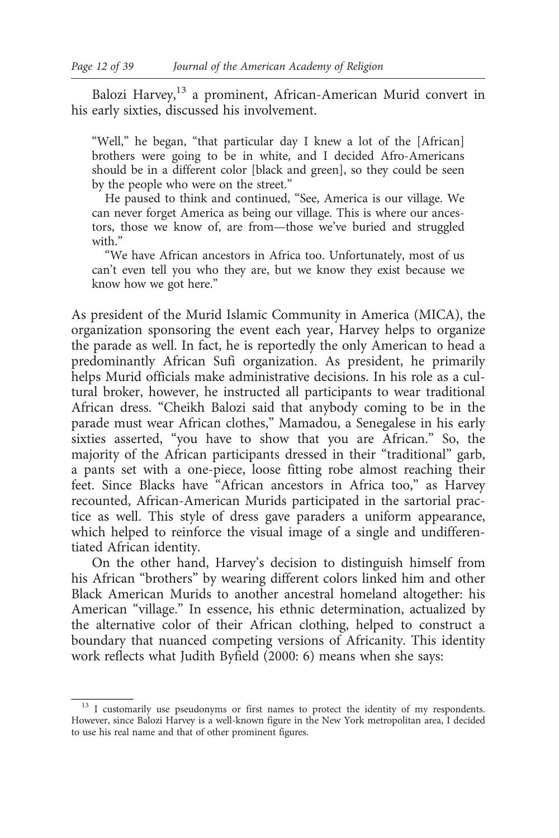Balozi Harvey, $13$  a prominent, African-American Murid convert in his early sixties, discussed his involvement.

"Well," he began, "that particular day I knew a lot of the [African] brothers were going to be in white, and I decided Afro-Americans should be in a different color [black and green], so they could be seen by the people who were on the street."

He paused to think and continued, "See, America is our village. We can never forget America as being our village. This is where our ancestors, those we know of, are from—those we've buried and struggled with."

"We have African ancestors in Africa too. Unfortunately, most of us can't even tell you who they are, but we know they exist because we know how we got here."

As president of the Murid Islamic Community in America (MICA), the organization sponsoring the event each year, Harvey helps to organize the parade as well. In fact, he is reportedly the only American to head a predominantly African Sufi organization. As president, he primarily helps Murid officials make administrative decisions. In his role as a cultural broker, however, he instructed all participants to wear traditional African dress. "Cheikh Balozi said that anybody coming to be in the parade must wear African clothes," Mamadou, a Senegalese in his early sixties asserted, "you have to show that you are African." So, the majority of the African participants dressed in their "traditional" garb, a pants set with a one-piece, loose fitting robe almost reaching their feet. Since Blacks have "African ancestors in Africa too," as Harvey recounted, African-American Murids participated in the sartorial practice as well. This style of dress gave paraders a uniform appearance, which helped to reinforce the visual image of a single and undifferentiated African identity.

On the other hand, Harvey's decision to distinguish himself from his African "brothers" by wearing different colors linked him and other Black American Murids to another ancestral homeland altogether: his American "village." In essence, his ethnic determination, actualized by the alternative color of their African clothing, helped to construct a boundary that nuanced competing versions of Africanity. This identity work reflects what Judith Byfield (2000: 6) means when she says:

<sup>&</sup>lt;sup>13</sup> I customarily use pseudonyms or first names to protect the identity of my respondents. However, since Balozi Harvey is a well-known figure in the New York metropolitan area, I decided to use his real name and that of other prominent figures.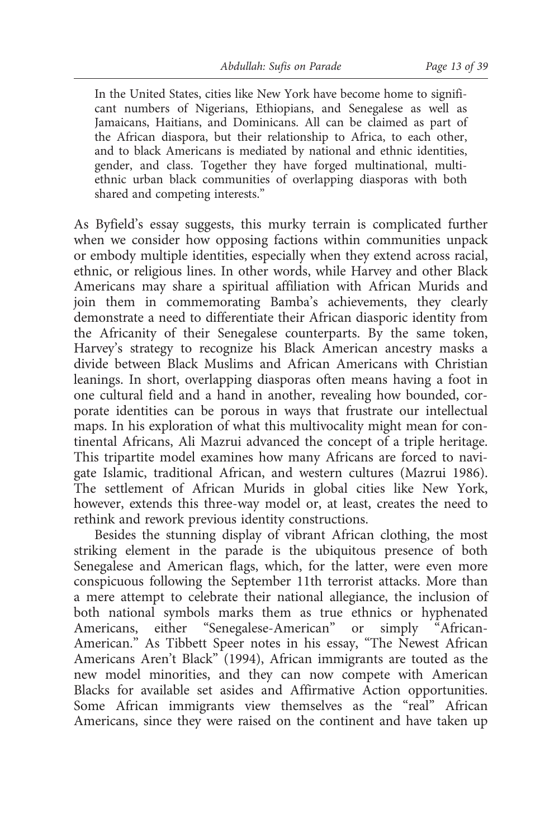In the United States, cities like New York have become home to significant numbers of Nigerians, Ethiopians, and Senegalese as well as Jamaicans, Haitians, and Dominicans. All can be claimed as part of the African diaspora, but their relationship to Africa, to each other, and to black Americans is mediated by national and ethnic identities, gender, and class. Together they have forged multinational, multiethnic urban black communities of overlapping diasporas with both shared and competing interests."

As Byfield's essay suggests, this murky terrain is complicated further when we consider how opposing factions within communities unpack or embody multiple identities, especially when they extend across racial, ethnic, or religious lines. In other words, while Harvey and other Black Americans may share a spiritual affiliation with African Murids and join them in commemorating Bamba's achievements, they clearly demonstrate a need to differentiate their African diasporic identity from the Africanity of their Senegalese counterparts. By the same token, Harvey's strategy to recognize his Black American ancestry masks a divide between Black Muslims and African Americans with Christian leanings. In short, overlapping diasporas often means having a foot in one cultural field and a hand in another, revealing how bounded, corporate identities can be porous in ways that frustrate our intellectual maps. In his exploration of what this multivocality might mean for continental Africans, Ali Mazrui advanced the concept of a triple heritage. This tripartite model examines how many Africans are forced to navigate Islamic, traditional African, and western cultures (Mazrui 1986). The settlement of African Murids in global cities like New York, however, extends this three-way model or, at least, creates the need to rethink and rework previous identity constructions.

Besides the stunning display of vibrant African clothing, the most striking element in the parade is the ubiquitous presence of both Senegalese and American flags, which, for the latter, were even more conspicuous following the September 11th terrorist attacks. More than a mere attempt to celebrate their national allegiance, the inclusion of both national symbols marks them as true ethnics or hyphenated<br>Americans, either "Senegalese-American" or simply "African-Americans, either "Senegalese-American" or simply American." As Tibbett Speer notes in his essay, "The Newest African Americans Aren't Black" (1994), African immigrants are touted as the new model minorities, and they can now compete with American Blacks for available set asides and Affirmative Action opportunities. Some African immigrants view themselves as the "real" African Americans, since they were raised on the continent and have taken up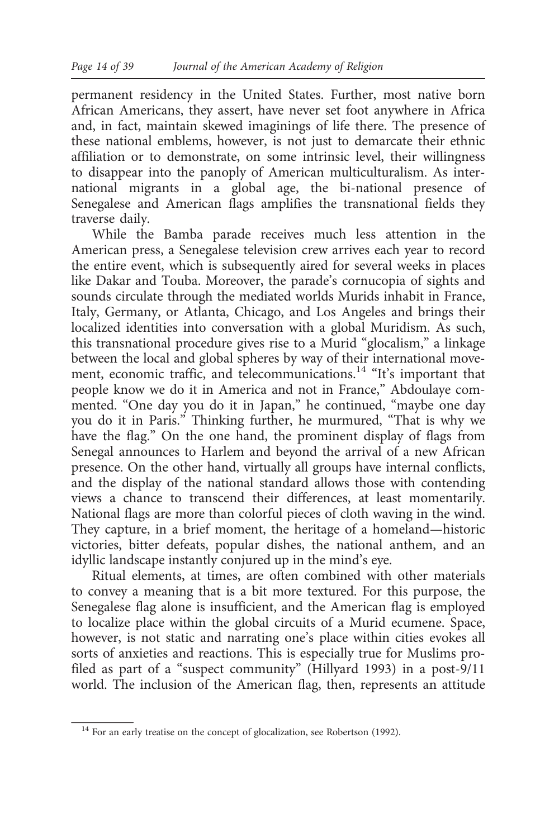permanent residency in the United States. Further, most native born African Americans, they assert, have never set foot anywhere in Africa and, in fact, maintain skewed imaginings of life there. The presence of these national emblems, however, is not just to demarcate their ethnic affiliation or to demonstrate, on some intrinsic level, their willingness to disappear into the panoply of American multiculturalism. As international migrants in a global age, the bi-national presence of Senegalese and American flags amplifies the transnational fields they traverse daily.

While the Bamba parade receives much less attention in the American press, a Senegalese television crew arrives each year to record the entire event, which is subsequently aired for several weeks in places like Dakar and Touba. Moreover, the parade's cornucopia of sights and sounds circulate through the mediated worlds Murids inhabit in France, Italy, Germany, or Atlanta, Chicago, and Los Angeles and brings their localized identities into conversation with a global Muridism. As such, this transnational procedure gives rise to a Murid "glocalism," a linkage between the local and global spheres by way of their international movement, economic traffic, and telecommunications.<sup>14</sup> "It's important that people know we do it in America and not in France," Abdoulaye commented. "One day you do it in Japan," he continued, "maybe one day you do it in Paris." Thinking further, he murmured, "That is why we have the flag." On the one hand, the prominent display of flags from Senegal announces to Harlem and beyond the arrival of a new African presence. On the other hand, virtually all groups have internal conflicts, and the display of the national standard allows those with contending views a chance to transcend their differences, at least momentarily. National flags are more than colorful pieces of cloth waving in the wind. They capture, in a brief moment, the heritage of a homeland—historic victories, bitter defeats, popular dishes, the national anthem, and an idyllic landscape instantly conjured up in the mind's eye.

Ritual elements, at times, are often combined with other materials to convey a meaning that is a bit more textured. For this purpose, the Senegalese flag alone is insufficient, and the American flag is employed to localize place within the global circuits of a Murid ecumene. Space, however, is not static and narrating one's place within cities evokes all sorts of anxieties and reactions. This is especially true for Muslims profiled as part of a "suspect community" (Hillyard 1993) in a post-9/11 world. The inclusion of the American flag, then, represents an attitude

 $14$  For an early treatise on the concept of glocalization, see Robertson (1992).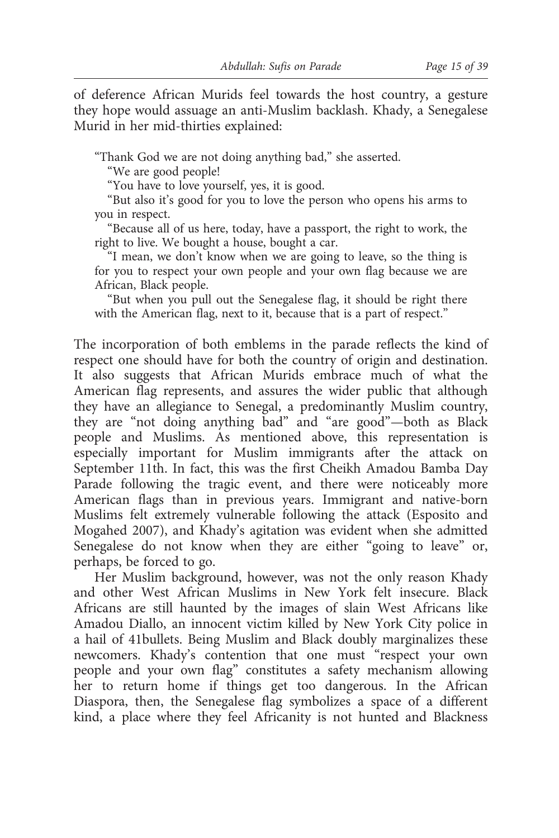of deference African Murids feel towards the host country, a gesture they hope would assuage an anti-Muslim backlash. Khady, a Senegalese Murid in her mid-thirties explained:

"Thank God we are not doing anything bad," she asserted.

"We are good people!

"You have to love yourself, yes, it is good.

"But also it's good for you to love the person who opens his arms to you in respect.

"Because all of us here, today, have a passport, the right to work, the right to live. We bought a house, bought a car.

"I mean, we don't know when we are going to leave, so the thing is for you to respect your own people and your own flag because we are African, Black people.

"But when you pull out the Senegalese flag, it should be right there with the American flag, next to it, because that is a part of respect."

The incorporation of both emblems in the parade reflects the kind of respect one should have for both the country of origin and destination. It also suggests that African Murids embrace much of what the American flag represents, and assures the wider public that although they have an allegiance to Senegal, a predominantly Muslim country, they are "not doing anything bad" and "are good"—both as Black people and Muslims. As mentioned above, this representation is especially important for Muslim immigrants after the attack on September 11th. In fact, this was the first Cheikh Amadou Bamba Day Parade following the tragic event, and there were noticeably more American flags than in previous years. Immigrant and native-born Muslims felt extremely vulnerable following the attack (Esposito and Mogahed 2007), and Khady's agitation was evident when she admitted Senegalese do not know when they are either "going to leave" or, perhaps, be forced to go.

Her Muslim background, however, was not the only reason Khady and other West African Muslims in New York felt insecure. Black Africans are still haunted by the images of slain West Africans like Amadou Diallo, an innocent victim killed by New York City police in a hail of 41bullets. Being Muslim and Black doubly marginalizes these newcomers. Khady's contention that one must "respect your own people and your own flag" constitutes a safety mechanism allowing her to return home if things get too dangerous. In the African Diaspora, then, the Senegalese flag symbolizes a space of a different kind, a place where they feel Africanity is not hunted and Blackness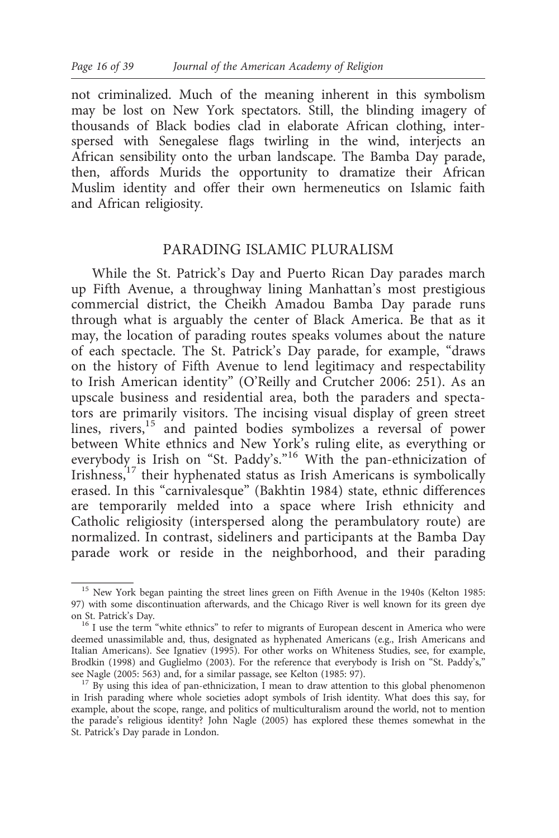not criminalized. Much of the meaning inherent in this symbolism may be lost on New York spectators. Still, the blinding imagery of thousands of Black bodies clad in elaborate African clothing, interspersed with Senegalese flags twirling in the wind, interjects an African sensibility onto the urban landscape. The Bamba Day parade, then, affords Murids the opportunity to dramatize their African Muslim identity and offer their own hermeneutics on Islamic faith and African religiosity.

#### PARADING ISLAMIC PLURALISM

While the St. Patrick's Day and Puerto Rican Day parades march up Fifth Avenue, a throughway lining Manhattan's most prestigious commercial district, the Cheikh Amadou Bamba Day parade runs through what is arguably the center of Black America. Be that as it may, the location of parading routes speaks volumes about the nature of each spectacle. The St. Patrick's Day parade, for example, "draws on the history of Fifth Avenue to lend legitimacy and respectability to Irish American identity" (O'Reilly and Crutcher 2006: 251). As an upscale business and residential area, both the paraders and spectators are primarily visitors. The incising visual display of green street lines, rivers,<sup>15</sup> and painted bodies symbolizes a reversal of power between White ethnics and New York's ruling elite, as everything or everybody is Irish on "St. Paddy's."<sup>16</sup> With the pan-ethnicization of Irishness,<sup>17</sup> their hyphenated status as Irish Americans is symbolically erased. In this "carnivalesque" (Bakhtin 1984) state, ethnic differences are temporarily melded into a space where Irish ethnicity and Catholic religiosity (interspersed along the perambulatory route) are normalized. In contrast, sideliners and participants at the Bamba Day parade work or reside in the neighborhood, and their parading

<sup>&</sup>lt;sup>15</sup> New York began painting the street lines green on Fifth Avenue in the 1940s (Kelton 1985: 97) with some discontinuation afterwards, and the Chicago River is well known for its green dye

 $16$  I use the term "white ethnics" to refer to migrants of European descent in America who were deemed unassimilable and, thus, designated as hyphenated Americans (e.g., Irish Americans and Italian Americans). See Ignatiev (1995). For other works on Whiteness Studies, see, for example, Brodkin (1998) and Guglielmo (2003). For the reference that everybody is Irish on "St. Paddy's," see Nagle (2005: 563) and, for a similar passage, see Kelton (1985: 97).

 $17$  By using this idea of pan-ethnicization, I mean to draw attention to this global phenomenon in Irish parading where whole societies adopt symbols of Irish identity. What does this say, for example, about the scope, range, and politics of multiculturalism around the world, not to mention the parade's religious identity? John Nagle (2005) has explored these themes somewhat in the St. Patrick's Day parade in London.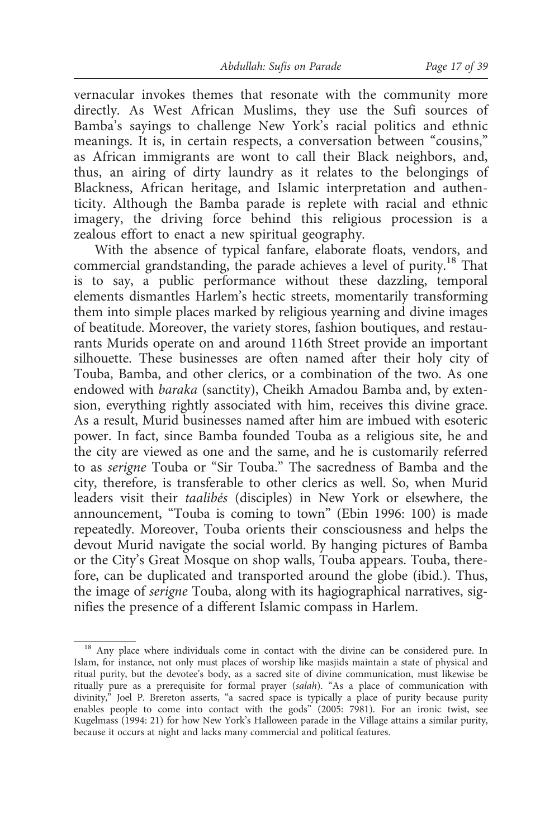vernacular invokes themes that resonate with the community more directly. As West African Muslims, they use the Sufi sources of Bamba's sayings to challenge New York's racial politics and ethnic meanings. It is, in certain respects, a conversation between "cousins," as African immigrants are wont to call their Black neighbors, and, thus, an airing of dirty laundry as it relates to the belongings of Blackness, African heritage, and Islamic interpretation and authenticity. Although the Bamba parade is replete with racial and ethnic imagery, the driving force behind this religious procession is a zealous effort to enact a new spiritual geography.

With the absence of typical fanfare, elaborate floats, vendors, and commercial grandstanding, the parade achieves a level of purity.<sup>18</sup> That is to say, a public performance without these dazzling, temporal elements dismantles Harlem's hectic streets, momentarily transforming them into simple places marked by religious yearning and divine images of beatitude. Moreover, the variety stores, fashion boutiques, and restaurants Murids operate on and around 116th Street provide an important silhouette. These businesses are often named after their holy city of Touba, Bamba, and other clerics, or a combination of the two. As one endowed with baraka (sanctity), Cheikh Amadou Bamba and, by extension, everything rightly associated with him, receives this divine grace. As a result, Murid businesses named after him are imbued with esoteric power. In fact, since Bamba founded Touba as a religious site, he and the city are viewed as one and the same, and he is customarily referred to as serigne Touba or "Sir Touba." The sacredness of Bamba and the city, therefore, is transferable to other clerics as well. So, when Murid leaders visit their taalibés (disciples) in New York or elsewhere, the announcement, "Touba is coming to town" (Ebin 1996: 100) is made repeatedly. Moreover, Touba orients their consciousness and helps the devout Murid navigate the social world. By hanging pictures of Bamba or the City's Great Mosque on shop walls, Touba appears. Touba, therefore, can be duplicated and transported around the globe (ibid.). Thus, the image of serigne Touba, along with its hagiographical narratives, signifies the presence of a different Islamic compass in Harlem.

<sup>&</sup>lt;sup>18</sup> Any place where individuals come in contact with the divine can be considered pure. In Islam, for instance, not only must places of worship like masjids maintain a state of physical and ritual purity, but the devotee's body, as a sacred site of divine communication, must likewise be ritually pure as a prerequisite for formal prayer (salah). "As a place of communication with divinity," Joel P. Brereton asserts, "a sacred space is typically a place of purity because purity enables people to come into contact with the gods" (2005: 7981). For an ironic twist, see Kugelmass (1994: 21) for how New York's Halloween parade in the Village attains a similar purity, because it occurs at night and lacks many commercial and political features.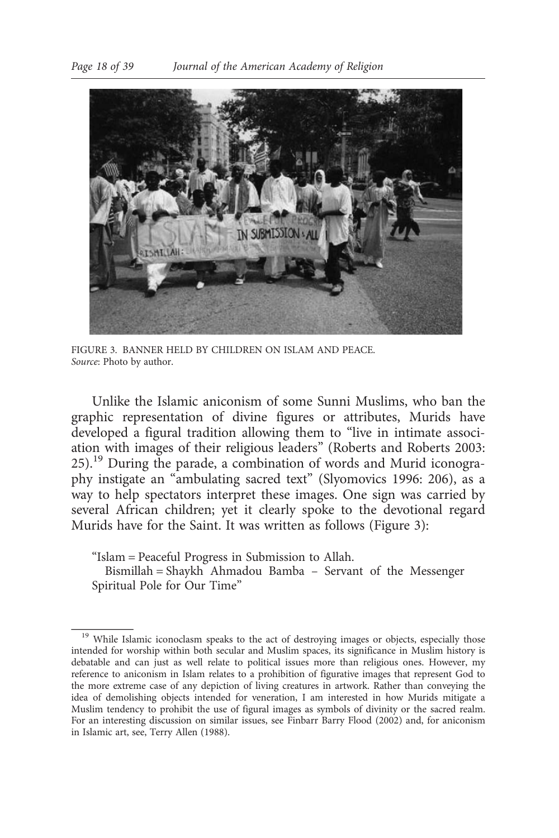

FIGURE 3. BANNER HELD BY CHILDREN ON ISLAM AND PEACE. Source: Photo by author.

Unlike the Islamic aniconism of some Sunni Muslims, who ban the graphic representation of divine figures or attributes, Murids have developed a figural tradition allowing them to "live in intimate association with images of their religious leaders" (Roberts and Roberts 2003: 25).<sup>19</sup> During the parade, a combination of words and Murid iconography instigate an "ambulating sacred text" (Slyomovics 1996: 206), as a way to help spectators interpret these images. One sign was carried by several African children; yet it clearly spoke to the devotional regard Murids have for the Saint. It was written as follows (Figure 3):

"Islam = Peaceful Progress in Submission to Allah.

Bismillah = Shaykh Ahmadou Bamba – Servant of the Messenger Spiritual Pole for Our Time"

<sup>&</sup>lt;sup>19</sup> While Islamic iconoclasm speaks to the act of destroying images or objects, especially those intended for worship within both secular and Muslim spaces, its significance in Muslim history is debatable and can just as well relate to political issues more than religious ones. However, my reference to aniconism in Islam relates to a prohibition of figurative images that represent God to the more extreme case of any depiction of living creatures in artwork. Rather than conveying the idea of demolishing objects intended for veneration, I am interested in how Murids mitigate a Muslim tendency to prohibit the use of figural images as symbols of divinity or the sacred realm. For an interesting discussion on similar issues, see Finbarr Barry Flood (2002) and, for aniconism in Islamic art, see, Terry Allen (1988).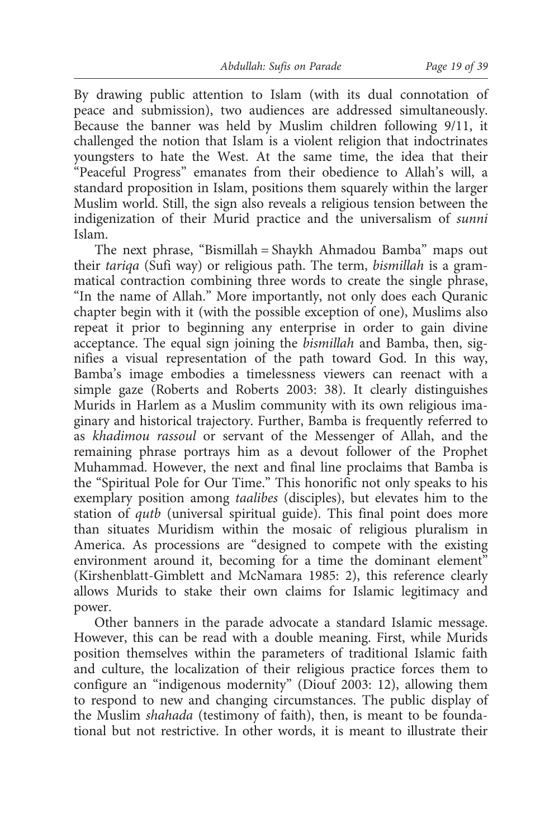By drawing public attention to Islam (with its dual connotation of peace and submission), two audiences are addressed simultaneously. Because the banner was held by Muslim children following 9/11, it challenged the notion that Islam is a violent religion that indoctrinates youngsters to hate the West. At the same time, the idea that their "Peaceful Progress" emanates from their obedience to Allah's will, a standard proposition in Islam, positions them squarely within the larger Muslim world. Still, the sign also reveals a religious tension between the indigenization of their Murid practice and the universalism of sunni Islam.

The next phrase, "Bismillah = Shaykh Ahmadou Bamba" maps out their tariqa (Sufi way) or religious path. The term, bismillah is a grammatical contraction combining three words to create the single phrase, "In the name of Allah." More importantly, not only does each Quranic chapter begin with it (with the possible exception of one), Muslims also repeat it prior to beginning any enterprise in order to gain divine acceptance. The equal sign joining the bismillah and Bamba, then, signifies a visual representation of the path toward God. In this way, Bamba's image embodies a timelessness viewers can reenact with a simple gaze (Roberts and Roberts 2003: 38). It clearly distinguishes Murids in Harlem as a Muslim community with its own religious imaginary and historical trajectory. Further, Bamba is frequently referred to as khadimou rassoul or servant of the Messenger of Allah, and the remaining phrase portrays him as a devout follower of the Prophet Muhammad. However, the next and final line proclaims that Bamba is the "Spiritual Pole for Our Time." This honorific not only speaks to his exemplary position among taalibes (disciples), but elevates him to the station of qutb (universal spiritual guide). This final point does more than situates Muridism within the mosaic of religious pluralism in America. As processions are "designed to compete with the existing environment around it, becoming for a time the dominant element" (Kirshenblatt-Gimblett and McNamara 1985: 2), this reference clearly allows Murids to stake their own claims for Islamic legitimacy and power.

Other banners in the parade advocate a standard Islamic message. However, this can be read with a double meaning. First, while Murids position themselves within the parameters of traditional Islamic faith and culture, the localization of their religious practice forces them to configure an "indigenous modernity" (Diouf 2003: 12), allowing them to respond to new and changing circumstances. The public display of the Muslim shahada (testimony of faith), then, is meant to be foundational but not restrictive. In other words, it is meant to illustrate their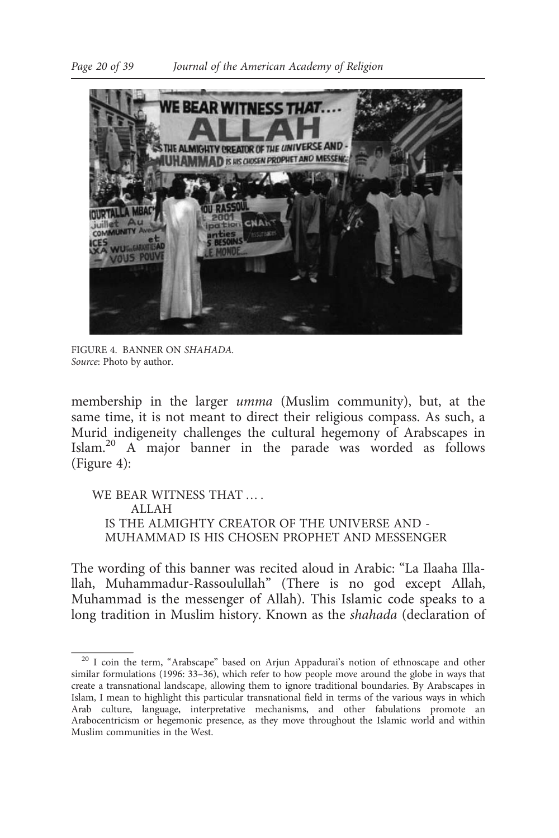

FIGURE 4. BANNER ON SHAHADA. Source: Photo by author.

membership in the larger *umma* (Muslim community), but, at the same time, it is not meant to direct their religious compass. As such, a Murid indigeneity challenges the cultural hegemony of Arabscapes in Islam.<sup>20</sup> A major banner in the parade was worded as follows (Figure 4):

WE BEAR WITNESS THAT ... ALLAH IS THE ALMIGHTY CREATOR OF THE UNIVERSE AND - MUHAMMAD IS HIS CHOSEN PROPHET AND MESSENGER

The wording of this banner was recited aloud in Arabic: "La Ilaaha Illallah, Muhammadur-Rassoulullah" (There is no god except Allah, Muhammad is the messenger of Allah). This Islamic code speaks to a long tradition in Muslim history. Known as the shahada (declaration of

<sup>&</sup>lt;sup>20</sup> I coin the term, "Arabscape" based on Arjun Appadurai's notion of ethnoscape and other similar formulations (1996: 33–36), which refer to how people move around the globe in ways that create a transnational landscape, allowing them to ignore traditional boundaries. By Arabscapes in Islam, I mean to highlight this particular transnational field in terms of the various ways in which Arab culture, language, interpretative mechanisms, and other fabulations promote an Arabocentricism or hegemonic presence, as they move throughout the Islamic world and within Muslim communities in the West.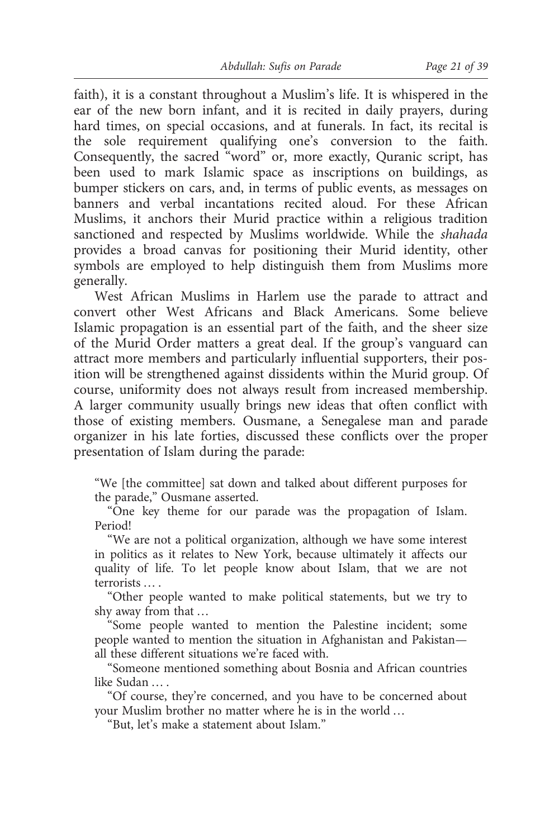faith), it is a constant throughout a Muslim's life. It is whispered in the ear of the new born infant, and it is recited in daily prayers, during hard times, on special occasions, and at funerals. In fact, its recital is the sole requirement qualifying one's conversion to the faith. Consequently, the sacred "word" or, more exactly, Quranic script, has been used to mark Islamic space as inscriptions on buildings, as bumper stickers on cars, and, in terms of public events, as messages on banners and verbal incantations recited aloud. For these African Muslims, it anchors their Murid practice within a religious tradition sanctioned and respected by Muslims worldwide. While the shahada provides a broad canvas for positioning their Murid identity, other symbols are employed to help distinguish them from Muslims more generally.

West African Muslims in Harlem use the parade to attract and convert other West Africans and Black Americans. Some believe Islamic propagation is an essential part of the faith, and the sheer size of the Murid Order matters a great deal. If the group's vanguard can attract more members and particularly influential supporters, their position will be strengthened against dissidents within the Murid group. Of course, uniformity does not always result from increased membership. A larger community usually brings new ideas that often conflict with those of existing members. Ousmane, a Senegalese man and parade organizer in his late forties, discussed these conflicts over the proper presentation of Islam during the parade:

"We [the committee] sat down and talked about different purposes for the parade," Ousmane asserted.

"One key theme for our parade was the propagation of Islam. Period!

"We are not a political organization, although we have some interest in politics as it relates to New York, because ultimately it affects our quality of life. To let people know about Islam, that we are not terrorists … .

"Other people wanted to make political statements, but we try to shy away from that …

"Some people wanted to mention the Palestine incident; some people wanted to mention the situation in Afghanistan and Pakistan all these different situations we're faced with.

"Someone mentioned something about Bosnia and African countries like Sudan … .

"Of course, they're concerned, and you have to be concerned about your Muslim brother no matter where he is in the world …

"But, let's make a statement about Islam."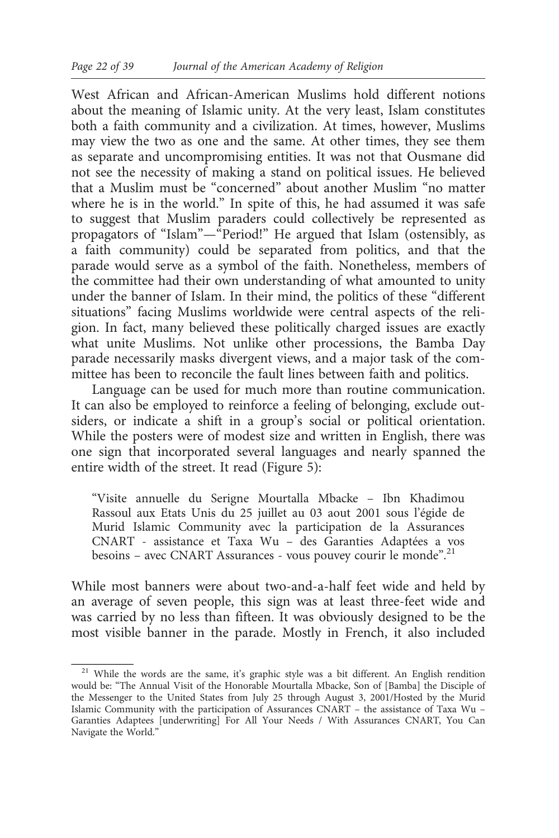West African and African-American Muslims hold different notions about the meaning of Islamic unity. At the very least, Islam constitutes both a faith community and a civilization. At times, however, Muslims may view the two as one and the same. At other times, they see them as separate and uncompromising entities. It was not that Ousmane did not see the necessity of making a stand on political issues. He believed that a Muslim must be "concerned" about another Muslim "no matter where he is in the world." In spite of this, he had assumed it was safe to suggest that Muslim paraders could collectively be represented as propagators of "Islam"—"Period!" He argued that Islam (ostensibly, as a faith community) could be separated from politics, and that the parade would serve as a symbol of the faith. Nonetheless, members of the committee had their own understanding of what amounted to unity under the banner of Islam. In their mind, the politics of these "different situations" facing Muslims worldwide were central aspects of the religion. In fact, many believed these politically charged issues are exactly what unite Muslims. Not unlike other processions, the Bamba Day parade necessarily masks divergent views, and a major task of the committee has been to reconcile the fault lines between faith and politics.

Language can be used for much more than routine communication. It can also be employed to reinforce a feeling of belonging, exclude outsiders, or indicate a shift in a group's social or political orientation. While the posters were of modest size and written in English, there was one sign that incorporated several languages and nearly spanned the entire width of the street. It read (Figure 5):

"Visite annuelle du Serigne Mourtalla Mbacke – Ibn Khadimou Rassoul aux Etats Unis du 25 juillet au 03 aout 2001 sous l'égide de Murid Islamic Community avec la participation de la Assurances CNART - assistance et Taxa Wu – des Garanties Adaptées a vos besoins - avec CNART Assurances - vous pouvey courir le monde".<sup>21</sup>

While most banners were about two-and-a-half feet wide and held by an average of seven people, this sign was at least three-feet wide and was carried by no less than fifteen. It was obviously designed to be the most visible banner in the parade. Mostly in French, it also included

<sup>&</sup>lt;sup>21</sup> While the words are the same, it's graphic style was a bit different. An English rendition would be: "The Annual Visit of the Honorable Mourtalla Mbacke, Son of [Bamba] the Disciple of the Messenger to the United States from July 25 through August 3, 2001/Hosted by the Murid Islamic Community with the participation of Assurances CNART – the assistance of Taxa Wu – Garanties Adaptees [underwriting] For All Your Needs / With Assurances CNART, You Can Navigate the World."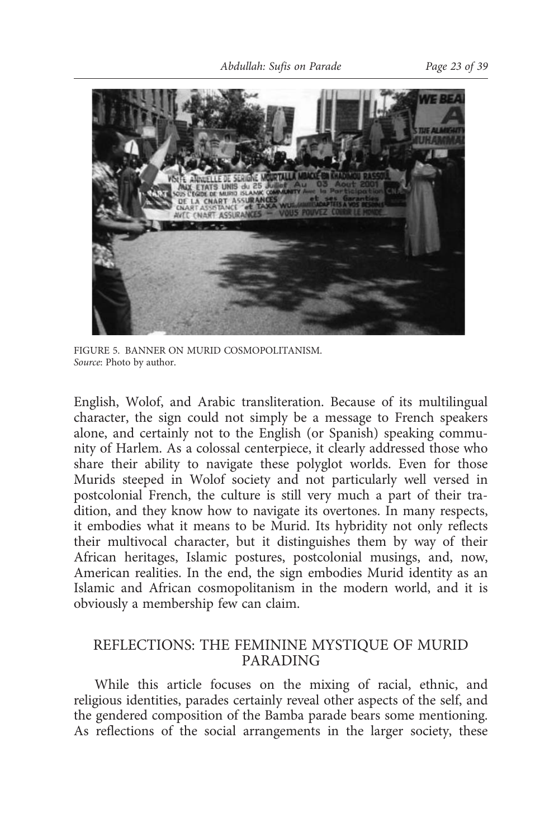

FIGURE 5. BANNER ON MURID COSMOPOLITANISM. Source: Photo by author.

English, Wolof, and Arabic transliteration. Because of its multilingual character, the sign could not simply be a message to French speakers alone, and certainly not to the English (or Spanish) speaking community of Harlem. As a colossal centerpiece, it clearly addressed those who share their ability to navigate these polyglot worlds. Even for those Murids steeped in Wolof society and not particularly well versed in postcolonial French, the culture is still very much a part of their tradition, and they know how to navigate its overtones. In many respects, it embodies what it means to be Murid. Its hybridity not only reflects their multivocal character, but it distinguishes them by way of their African heritages, Islamic postures, postcolonial musings, and, now, American realities. In the end, the sign embodies Murid identity as an Islamic and African cosmopolitanism in the modern world, and it is obviously a membership few can claim.

## REFLECTIONS: THE FEMININE MYSTIQUE OF MURID PARADING

While this article focuses on the mixing of racial, ethnic, and religious identities, parades certainly reveal other aspects of the self, and the gendered composition of the Bamba parade bears some mentioning. As reflections of the social arrangements in the larger society, these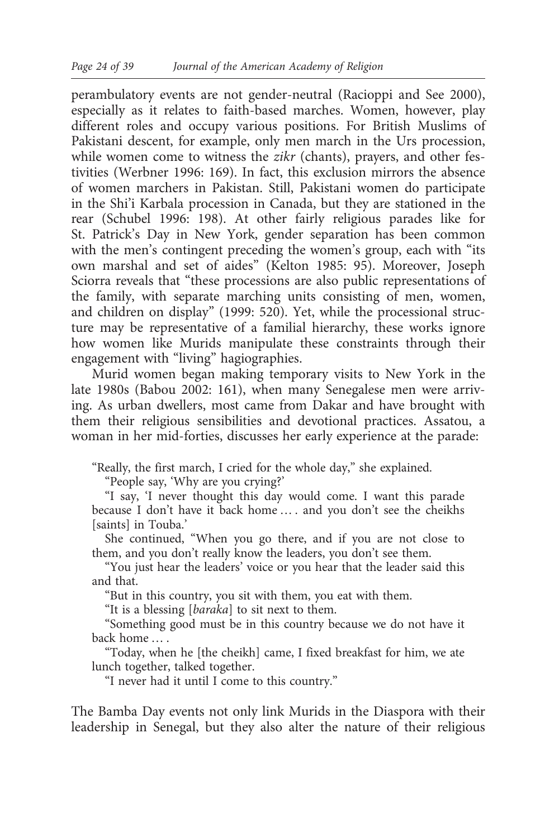perambulatory events are not gender-neutral (Racioppi and See 2000), especially as it relates to faith-based marches. Women, however, play different roles and occupy various positions. For British Muslims of Pakistani descent, for example, only men march in the Urs procession, while women come to witness the *zikr* (chants), prayers, and other festivities (Werbner 1996: 169). In fact, this exclusion mirrors the absence of women marchers in Pakistan. Still, Pakistani women do participate in the Shi'i Karbala procession in Canada, but they are stationed in the rear (Schubel 1996: 198). At other fairly religious parades like for St. Patrick's Day in New York, gender separation has been common with the men's contingent preceding the women's group, each with "its own marshal and set of aides" (Kelton 1985: 95). Moreover, Joseph Sciorra reveals that "these processions are also public representations of the family, with separate marching units consisting of men, women, and children on display" (1999: 520). Yet, while the processional structure may be representative of a familial hierarchy, these works ignore how women like Murids manipulate these constraints through their engagement with "living" hagiographies.

Murid women began making temporary visits to New York in the late 1980s (Babou 2002: 161), when many Senegalese men were arriving. As urban dwellers, most came from Dakar and have brought with them their religious sensibilities and devotional practices. Assatou, a woman in her mid-forties, discusses her early experience at the parade:

"Really, the first march, I cried for the whole day," she explained.

"People say, 'Why are you crying?'

"I say, 'I never thought this day would come. I want this parade because I don't have it back home … . and you don't see the cheikhs [saints] in Touba.'

She continued, "When you go there, and if you are not close to them, and you don't really know the leaders, you don't see them.

"You just hear the leaders' voice or you hear that the leader said this and that.

"But in this country, you sit with them, you eat with them.

"It is a blessing [baraka] to sit next to them.

"Something good must be in this country because we do not have it back home … .

"Today, when he [the cheikh] came, I fixed breakfast for him, we ate lunch together, talked together.

"I never had it until I come to this country."

The Bamba Day events not only link Murids in the Diaspora with their leadership in Senegal, but they also alter the nature of their religious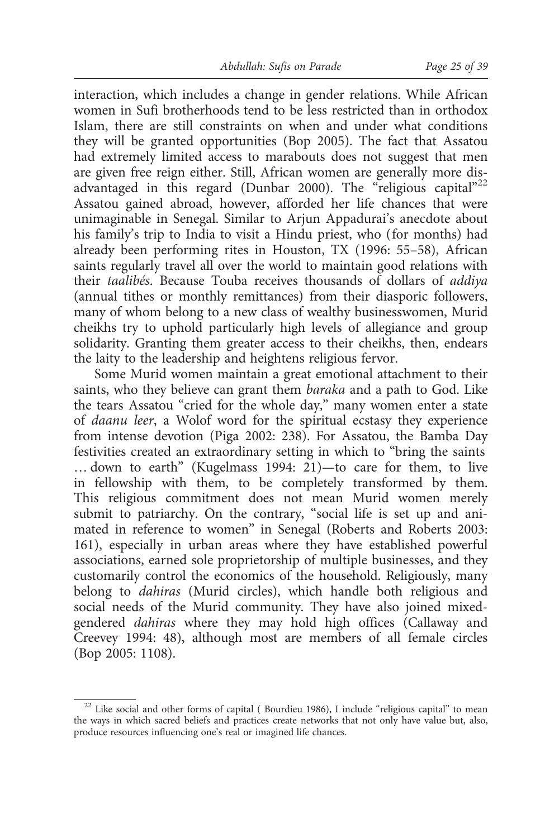interaction, which includes a change in gender relations. While African women in Sufi brotherhoods tend to be less restricted than in orthodox Islam, there are still constraints on when and under what conditions they will be granted opportunities (Bop 2005). The fact that Assatou had extremely limited access to marabouts does not suggest that men are given free reign either. Still, African women are generally more disadvantaged in this regard (Dunbar 2000). The "religious capital"<sup>22</sup> Assatou gained abroad, however, afforded her life chances that were unimaginable in Senegal. Similar to Arjun Appadurai's anecdote about his family's trip to India to visit a Hindu priest, who (for months) had already been performing rites in Houston, TX (1996: 55–58), African saints regularly travel all over the world to maintain good relations with their taalibés. Because Touba receives thousands of dollars of addiya (annual tithes or monthly remittances) from their diasporic followers, many of whom belong to a new class of wealthy businesswomen, Murid cheikhs try to uphold particularly high levels of allegiance and group solidarity. Granting them greater access to their cheikhs, then, endears the laity to the leadership and heightens religious fervor.

Some Murid women maintain a great emotional attachment to their saints, who they believe can grant them baraka and a path to God. Like the tears Assatou "cried for the whole day," many women enter a state of daanu leer, a Wolof word for the spiritual ecstasy they experience from intense devotion (Piga 2002: 238). For Assatou, the Bamba Day festivities created an extraordinary setting in which to "bring the saints … down to earth" (Kugelmass 1994: 21)—to care for them, to live in fellowship with them, to be completely transformed by them. This religious commitment does not mean Murid women merely submit to patriarchy. On the contrary, "social life is set up and animated in reference to women" in Senegal (Roberts and Roberts 2003: 161), especially in urban areas where they have established powerful associations, earned sole proprietorship of multiple businesses, and they customarily control the economics of the household. Religiously, many belong to dahiras (Murid circles), which handle both religious and social needs of the Murid community. They have also joined mixedgendered dahiras where they may hold high offices (Callaway and Creevey 1994: 48), although most are members of all female circles (Bop 2005: 1108).

 $22$  Like social and other forms of capital (Bourdieu 1986), I include "religious capital" to mean the ways in which sacred beliefs and practices create networks that not only have value but, also, produce resources influencing one's real or imagined life chances.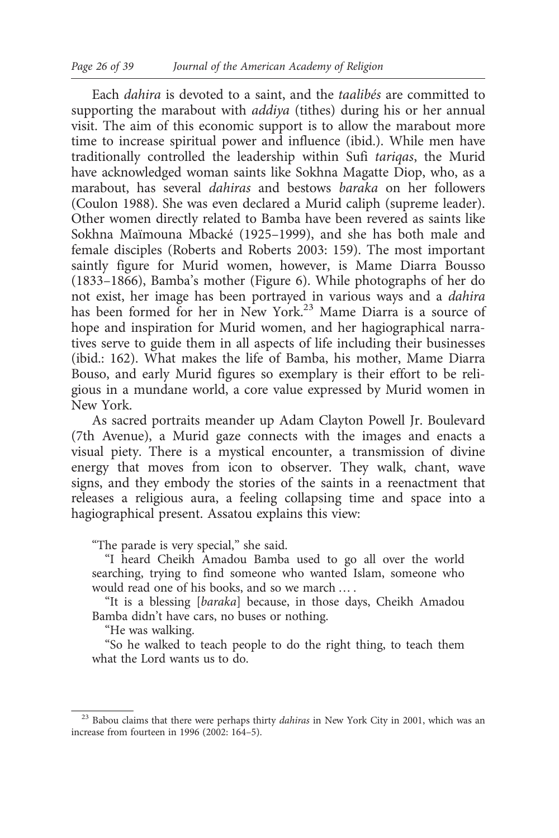Each dahira is devoted to a saint, and the taalibés are committed to supporting the marabout with *addiya* (tithes) during his or her annual visit. The aim of this economic support is to allow the marabout more time to increase spiritual power and influence (ibid.). While men have traditionally controlled the leadership within Sufi tariqas, the Murid have acknowledged woman saints like Sokhna Magatte Diop, who, as a marabout, has several dahiras and bestows baraka on her followers (Coulon 1988). She was even declared a Murid caliph (supreme leader). Other women directly related to Bamba have been revered as saints like Sokhna Maïmouna Mbacké (1925–1999), and she has both male and female disciples (Roberts and Roberts 2003: 159). The most important saintly figure for Murid women, however, is Mame Diarra Bousso (1833–1866), Bamba's mother (Figure 6). While photographs of her do not exist, her image has been portrayed in various ways and a dahira has been formed for her in New York.<sup>23</sup> Mame Diarra is a source of hope and inspiration for Murid women, and her hagiographical narratives serve to guide them in all aspects of life including their businesses (ibid.: 162). What makes the life of Bamba, his mother, Mame Diarra Bouso, and early Murid figures so exemplary is their effort to be religious in a mundane world, a core value expressed by Murid women in New York.

As sacred portraits meander up Adam Clayton Powell Jr. Boulevard (7th Avenue), a Murid gaze connects with the images and enacts a visual piety. There is a mystical encounter, a transmission of divine energy that moves from icon to observer. They walk, chant, wave signs, and they embody the stories of the saints in a reenactment that releases a religious aura, a feeling collapsing time and space into a hagiographical present. Assatou explains this view:

"The parade is very special," she said.

"I heard Cheikh Amadou Bamba used to go all over the world searching, trying to find someone who wanted Islam, someone who would read one of his books, and so we march … .

"It is a blessing [baraka] because, in those days, Cheikh Amadou Bamba didn't have cars, no buses or nothing.

"He was walking.

"So he walked to teach people to do the right thing, to teach them what the Lord wants us to do.

<sup>&</sup>lt;sup>23</sup> Babou claims that there were perhaps thirty *dahiras* in New York City in 2001, which was an increase from fourteen in 1996 (2002: 164–5).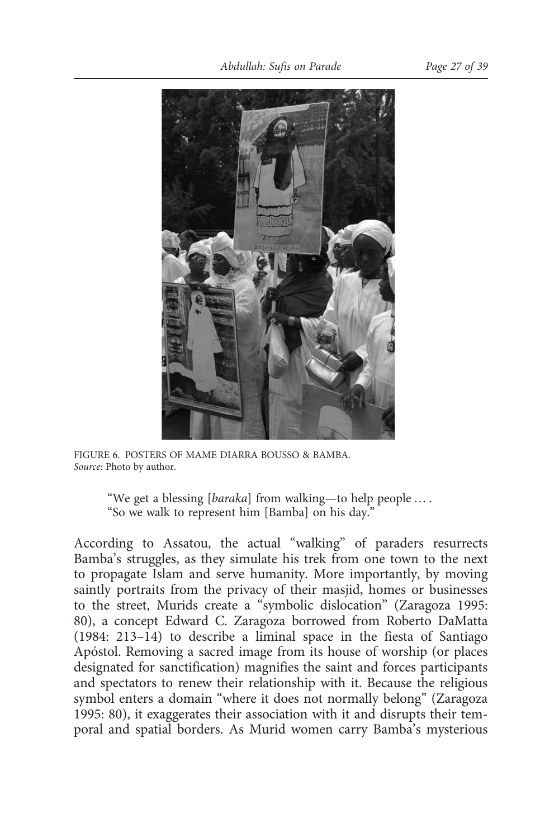Abdullah: Sufis on Parade Page 27 of 39



FIGURE 6. POSTERS OF MAME DIARRA BOUSSO & BAMBA. Source: Photo by author.

"We get a blessing [baraka] from walking—to help people … . "So we walk to represent him [Bamba] on his day."

According to Assatou, the actual "walking" of paraders resurrects Bamba's struggles, as they simulate his trek from one town to the next to propagate Islam and serve humanity. More importantly, by moving saintly portraits from the privacy of their masjid, homes or businesses to the street, Murids create a "symbolic dislocation" (Zaragoza 1995: 80), a concept Edward C. Zaragoza borrowed from Roberto DaMatta (1984: 213–14) to describe a liminal space in the fiesta of Santiago Apóstol. Removing a sacred image from its house of worship (or places designated for sanctification) magnifies the saint and forces participants and spectators to renew their relationship with it. Because the religious symbol enters a domain "where it does not normally belong" (Zaragoza 1995: 80), it exaggerates their association with it and disrupts their temporal and spatial borders. As Murid women carry Bamba's mysterious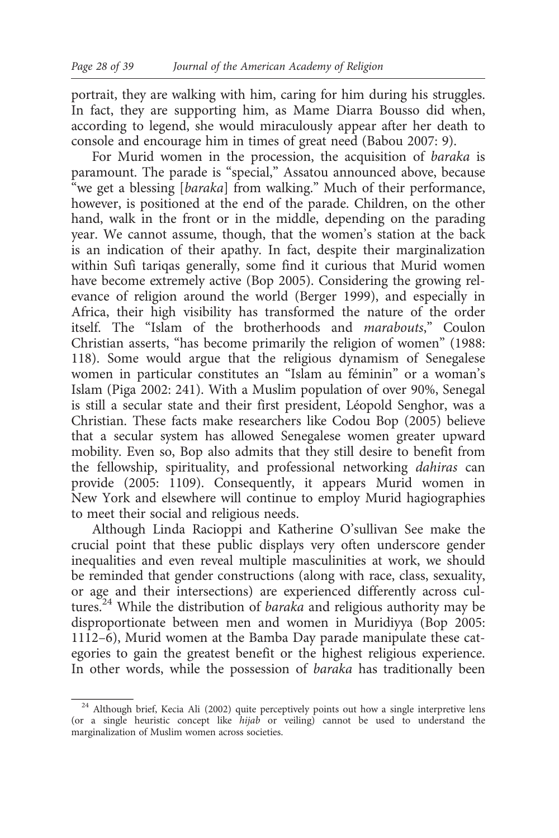portrait, they are walking with him, caring for him during his struggles. In fact, they are supporting him, as Mame Diarra Bousso did when, according to legend, she would miraculously appear after her death to console and encourage him in times of great need (Babou 2007: 9).

For Murid women in the procession, the acquisition of baraka is paramount. The parade is "special," Assatou announced above, because "we get a blessing [baraka] from walking." Much of their performance, however, is positioned at the end of the parade. Children, on the other hand, walk in the front or in the middle, depending on the parading year. We cannot assume, though, that the women's station at the back is an indication of their apathy. In fact, despite their marginalization within Sufi tariqas generally, some find it curious that Murid women have become extremely active (Bop 2005). Considering the growing relevance of religion around the world (Berger 1999), and especially in Africa, their high visibility has transformed the nature of the order itself. The "Islam of the brotherhoods and marabouts," Coulon Christian asserts, "has become primarily the religion of women" (1988: 118). Some would argue that the religious dynamism of Senegalese women in particular constitutes an "Islam au féminin" or a woman's Islam (Piga 2002: 241). With a Muslim population of over 90%, Senegal is still a secular state and their first president, Léopold Senghor, was a Christian. These facts make researchers like Codou Bop (2005) believe that a secular system has allowed Senegalese women greater upward mobility. Even so, Bop also admits that they still desire to benefit from the fellowship, spirituality, and professional networking dahiras can provide (2005: 1109). Consequently, it appears Murid women in New York and elsewhere will continue to employ Murid hagiographies to meet their social and religious needs.

Although Linda Racioppi and Katherine O'sullivan See make the crucial point that these public displays very often underscore gender inequalities and even reveal multiple masculinities at work, we should be reminded that gender constructions (along with race, class, sexuality, or age and their intersections) are experienced differently across cultures.<sup>24</sup> While the distribution of *baraka* and religious authority may be disproportionate between men and women in Muridiyya (Bop 2005: 1112–6), Murid women at the Bamba Day parade manipulate these categories to gain the greatest benefit or the highest religious experience. In other words, while the possession of baraka has traditionally been

 $24$  Although brief, Kecia Ali (2002) quite perceptively points out how a single interpretive lens (or a single heuristic concept like hijab or veiling) cannot be used to understand the marginalization of Muslim women across societies.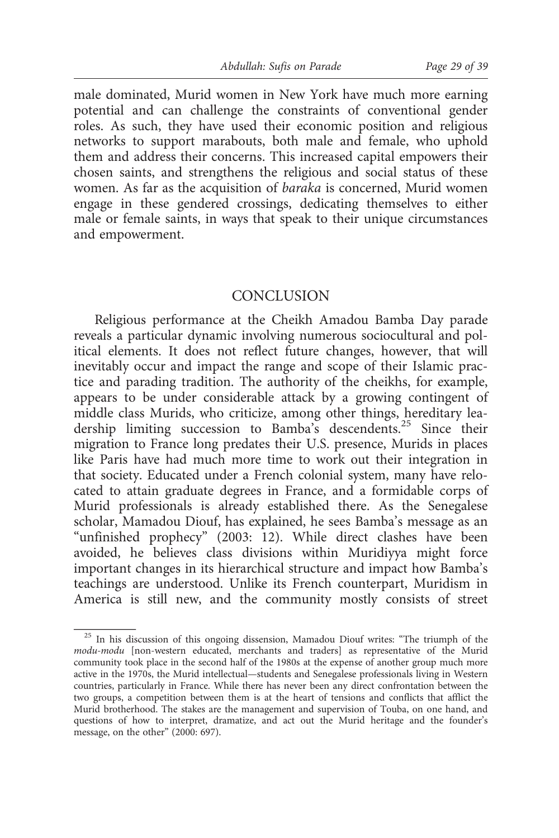male dominated, Murid women in New York have much more earning potential and can challenge the constraints of conventional gender roles. As such, they have used their economic position and religious networks to support marabouts, both male and female, who uphold them and address their concerns. This increased capital empowers their chosen saints, and strengthens the religious and social status of these women. As far as the acquisition of baraka is concerned, Murid women engage in these gendered crossings, dedicating themselves to either male or female saints, in ways that speak to their unique circumstances and empowerment.

## **CONCLUSION**

Religious performance at the Cheikh Amadou Bamba Day parade reveals a particular dynamic involving numerous sociocultural and political elements. It does not reflect future changes, however, that will inevitably occur and impact the range and scope of their Islamic practice and parading tradition. The authority of the cheikhs, for example, appears to be under considerable attack by a growing contingent of middle class Murids, who criticize, among other things, hereditary leadership limiting succession to Bamba's descendents.<sup>25</sup> Since their migration to France long predates their U.S. presence, Murids in places like Paris have had much more time to work out their integration in that society. Educated under a French colonial system, many have relocated to attain graduate degrees in France, and a formidable corps of Murid professionals is already established there. As the Senegalese scholar, Mamadou Diouf, has explained, he sees Bamba's message as an "unfinished prophecy" (2003: 12). While direct clashes have been avoided, he believes class divisions within Muridiyya might force important changes in its hierarchical structure and impact how Bamba's teachings are understood. Unlike its French counterpart, Muridism in America is still new, and the community mostly consists of street

<sup>&</sup>lt;sup>25</sup> In his discussion of this ongoing dissension, Mamadou Diouf writes: "The triumph of the modu-modu [non-western educated, merchants and traders] as representative of the Murid community took place in the second half of the 1980s at the expense of another group much more active in the 1970s, the Murid intellectual—students and Senegalese professionals living in Western countries, particularly in France. While there has never been any direct confrontation between the two groups, a competition between them is at the heart of tensions and conflicts that afflict the Murid brotherhood. The stakes are the management and supervision of Touba, on one hand, and questions of how to interpret, dramatize, and act out the Murid heritage and the founder's message, on the other" (2000: 697).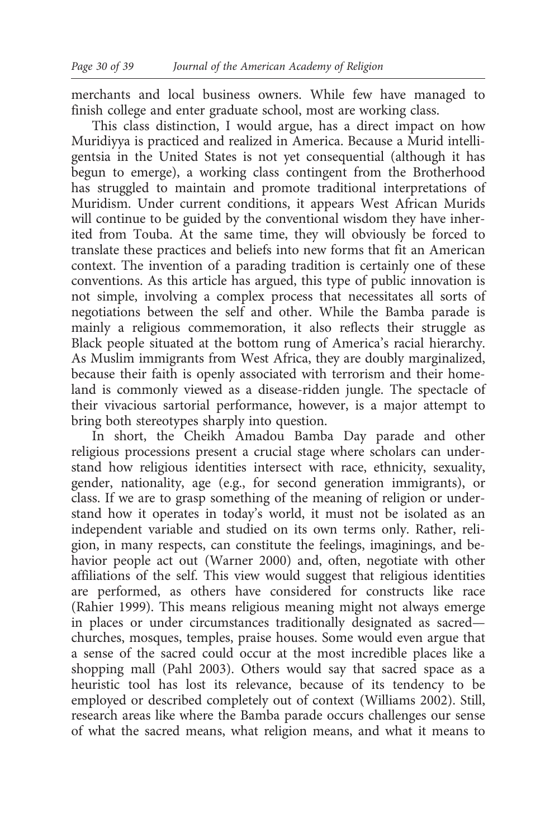merchants and local business owners. While few have managed to finish college and enter graduate school, most are working class.

This class distinction, I would argue, has a direct impact on how Muridiyya is practiced and realized in America. Because a Murid intelligentsia in the United States is not yet consequential (although it has begun to emerge), a working class contingent from the Brotherhood has struggled to maintain and promote traditional interpretations of Muridism. Under current conditions, it appears West African Murids will continue to be guided by the conventional wisdom they have inherited from Touba. At the same time, they will obviously be forced to translate these practices and beliefs into new forms that fit an American context. The invention of a parading tradition is certainly one of these conventions. As this article has argued, this type of public innovation is not simple, involving a complex process that necessitates all sorts of negotiations between the self and other. While the Bamba parade is mainly a religious commemoration, it also reflects their struggle as Black people situated at the bottom rung of America's racial hierarchy. As Muslim immigrants from West Africa, they are doubly marginalized, because their faith is openly associated with terrorism and their homeland is commonly viewed as a disease-ridden jungle. The spectacle of their vivacious sartorial performance, however, is a major attempt to bring both stereotypes sharply into question.

In short, the Cheikh Amadou Bamba Day parade and other religious processions present a crucial stage where scholars can understand how religious identities intersect with race, ethnicity, sexuality, gender, nationality, age (e.g., for second generation immigrants), or class. If we are to grasp something of the meaning of religion or understand how it operates in today's world, it must not be isolated as an independent variable and studied on its own terms only. Rather, religion, in many respects, can constitute the feelings, imaginings, and behavior people act out (Warner 2000) and, often, negotiate with other affiliations of the self. This view would suggest that religious identities are performed, as others have considered for constructs like race (Rahier 1999). This means religious meaning might not always emerge in places or under circumstances traditionally designated as sacred churches, mosques, temples, praise houses. Some would even argue that a sense of the sacred could occur at the most incredible places like a shopping mall (Pahl 2003). Others would say that sacred space as a heuristic tool has lost its relevance, because of its tendency to be employed or described completely out of context (Williams 2002). Still, research areas like where the Bamba parade occurs challenges our sense of what the sacred means, what religion means, and what it means to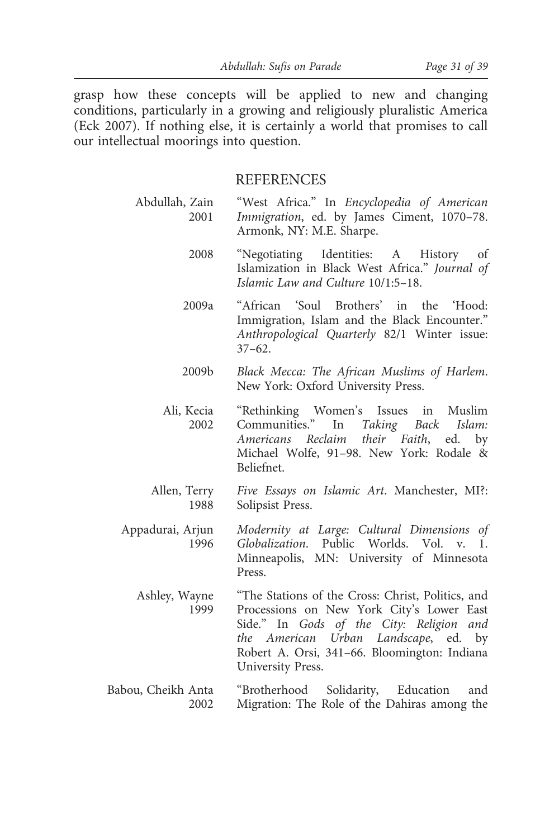grasp how these concepts will be applied to new and changing conditions, particularly in a growing and religiously pluralistic America (Eck 2007). If nothing else, it is certainly a world that promises to call our intellectual moorings into question.

#### **REFERENCES**

- Abdullah, Zain 2001 "West Africa." In Encyclopedia of American Immigration, ed. by James Ciment, 1070–78. Armonk, NY: M.E. Sharpe.
	- 2008 "Negotiating Identities: A History of Islamization in Black West Africa." Journal of Islamic Law and Culture 10/1:5–18.
	- 2009a "African 'Soul Brothers' in the 'Hood: Immigration, Islam and the Black Encounter." Anthropological Quarterly 82/1 Winter issue: 37–62.
	- 2009b Black Mecca: The African Muslims of Harlem. New York: Oxford University Press.
	- Ali, Kecia 2002 "Rethinking Women's Issues in Muslim<br>Communities." In *Taking Back Islam*: In Taking Back Islam: Americans Reclaim their Faith, ed. by Michael Wolfe, 91–98. New York: Rodale & Beliefnet.
	- Allen, Terry 1988 Five Essays on Islamic Art. Manchester, MI?: Solipsist Press.
- Appadurai, Arjun 1996 Modernity at Large: Cultural Dimensions of Globalization. Public Worlds. Vol. v. 1. Minneapolis, MN: University of Minnesota Press.
- Ashley, Wayne 1999 "The Stations of the Cross: Christ, Politics, and Processions on New York City's Lower East Side." In Gods of the City: Religion and the American Urban Landscape, ed. by Robert A. Orsi, 341–66. Bloomington: Indiana University Press.
- Babou, Cheikh Anta 2002 "Brotherhood Solidarity, Education and Migration: The Role of the Dahiras among the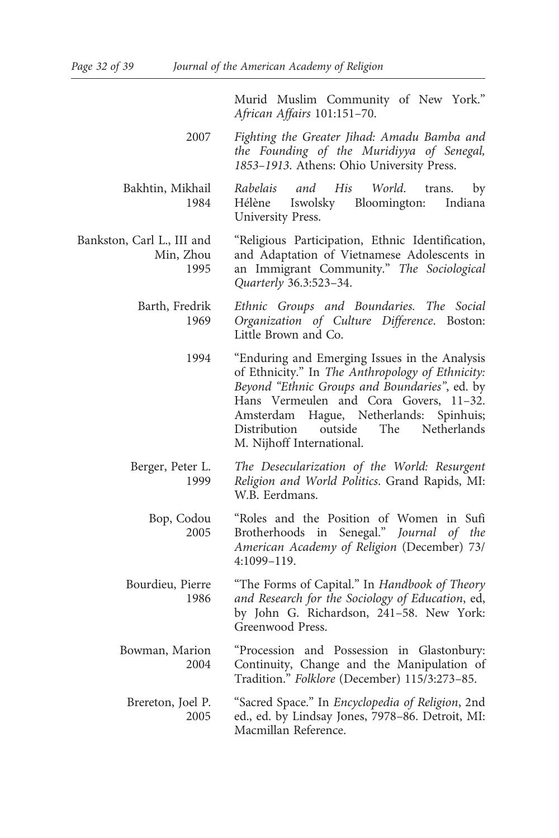Murid Muslim Community of New York." African Affairs 101:151–70.

- 2007 Fighting the Greater Jihad: Amadu Bamba and the Founding of the Muridiyya of Senegal, 1853–1913. Athens: Ohio University Press.
- Bakhtin, Mikhail 1984 Rabelais and His World. trans. by<br>Hélène Iswolsky Bloomington: Indiana Hélène Iswolsky Bloomington: Indiana University Press.
- Bankston, Carl L., III and Min, Zhou 1995 "Religious Participation, Ethnic Identification, and Adaptation of Vietnamese Adolescents in an Immigrant Community." The Sociological Quarterly 36.3:523–34.
	- Barth, Fredrik 1969 Ethnic Groups and Boundaries. The Social Organization of Culture Difference. Boston: Little Brown and Co.
		- 1994 "Enduring and Emerging Issues in the Analysis of Ethnicity." In The Anthropology of Ethnicity: Beyond "Ethnic Groups and Boundaries", ed. by Hans Vermeulen and Cora Govers, 11–32. Amsterdam Hague, Netherlands: Spinhuis; Distribution outside The Netherlands M. Nijhoff International.
	- Berger, Peter L. 1999 The Desecularization of the World: Resurgent Religion and World Politics. Grand Rapids, MI: W.B. Eerdmans.
		- Bop, Codou 2005 "Roles and the Position of Women in Sufi Brotherhoods in Senegal." Journal of the American Academy of Religion (December) 73/ 4:1099–119.
	- Bourdieu, Pierre 1986 "The Forms of Capital." In Handbook of Theory and Research for the Sociology of Education, ed, by John G. Richardson, 241–58. New York: Greenwood Press.
	- Bowman, Marion 2004 "Procession and Possession in Glastonbury: Continuity, Change and the Manipulation of Tradition." Folklore (December) 115/3:273–85.
	- Brereton, Joel P. 2005 "Sacred Space." In Encyclopedia of Religion, 2nd ed., ed. by Lindsay Jones, 7978–86. Detroit, MI: Macmillan Reference.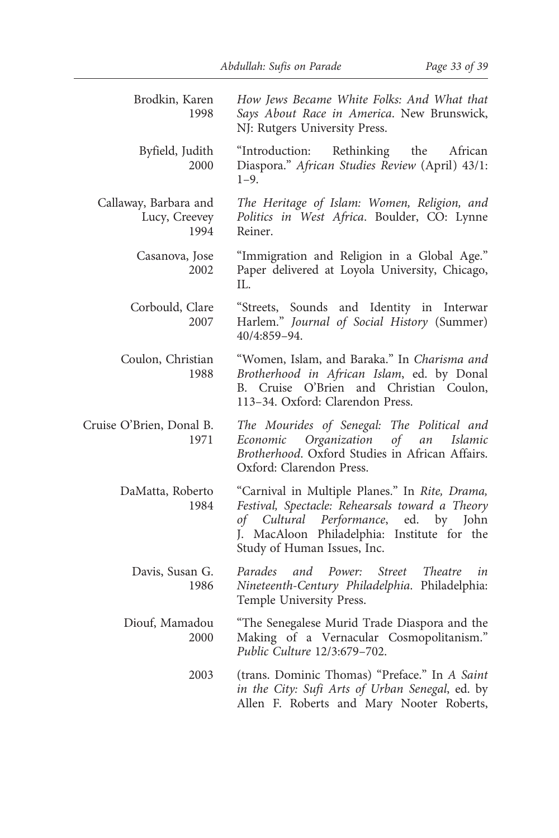| Brodkin, Karen<br>1998                         | How Jews Became White Folks: And What that<br>Says About Race in America. New Brunswick,<br>NJ: Rutgers University Press.                                                                                               |
|------------------------------------------------|-------------------------------------------------------------------------------------------------------------------------------------------------------------------------------------------------------------------------|
| Byfield, Judith<br>2000                        | "Introduction:<br>Rethinking<br>the<br>African<br>Diaspora." African Studies Review (April) 43/1:<br>$1 - 9.$                                                                                                           |
| Callaway, Barbara and<br>Lucy, Creevey<br>1994 | The Heritage of Islam: Women, Religion, and<br>Politics in West Africa. Boulder, CO: Lynne<br>Reiner.                                                                                                                   |
| Casanova, Jose<br>2002                         | "Immigration and Religion in a Global Age."<br>Paper delivered at Loyola University, Chicago,<br>H.                                                                                                                     |
| Corbould, Clare<br>2007                        | "Streets, Sounds and Identity in Interwar<br>Harlem." Journal of Social History (Summer)<br>40/4:859-94.                                                                                                                |
| Coulon, Christian<br>1988                      | "Women, Islam, and Baraka." In Charisma and<br>Brotherhood in African Islam, ed. by Donal<br>B. Cruise O'Brien and Christian Coulon,<br>113-34. Oxford: Clarendon Press.                                                |
| Cruise O'Brien, Donal B.<br>1971               | The Mourides of Senegal: The Political and<br>Economic Organization<br>of<br>an<br>Islamic<br>Brotherhood. Oxford Studies in African Affairs.<br>Oxford: Clarendon Press.                                               |
| DaMatta, Roberto<br>1984                       | "Carnival in Multiple Planes." In Rite, Drama,<br>Festival, Spectacle: Rehearsals toward a Theory<br>of Cultural Performance, ed. by John<br>J. MacAloon Philadelphia: Institute for the<br>Study of Human Issues, Inc. |
| Davis, Susan G.<br>1986                        | <i>Street</i><br>Parades<br>and<br>Power:<br>Theatre<br>in<br>Nineteenth-Century Philadelphia. Philadelphia:<br>Temple University Press.                                                                                |
| Diouf, Mamadou<br>2000                         | "The Senegalese Murid Trade Diaspora and the<br>Making of a Vernacular Cosmopolitanism."<br>Public Culture 12/3:679-702.                                                                                                |
| 2003                                           | (trans. Dominic Thomas) "Preface." In A Saint<br>in the City: Sufi Arts of Urban Senegal, ed. by<br>Allen F. Roberts and Mary Nooter Roberts,                                                                           |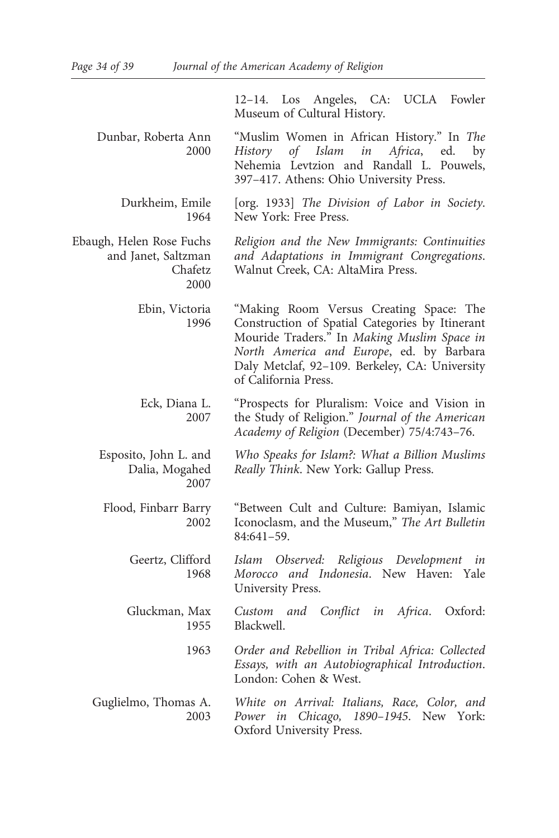|                                                                    | 12-14. Los Angeles, CA: UCLA Fowler<br>Museum of Cultural History.                                                                                                                                                                                              |
|--------------------------------------------------------------------|-----------------------------------------------------------------------------------------------------------------------------------------------------------------------------------------------------------------------------------------------------------------|
| Dunbar, Roberta Ann<br>2000                                        | "Muslim Women in African History." In The<br>of Islam<br>Africa, ed.<br>History<br>in<br>by<br>Nehemia Levtzion and Randall L. Pouwels,<br>397-417. Athens: Ohio University Press.                                                                              |
| Durkheim, Emile<br>1964                                            | [org. 1933] The Division of Labor in Society.<br>New York: Free Press.                                                                                                                                                                                          |
| Ebaugh, Helen Rose Fuchs<br>and Janet, Saltzman<br>Chafetz<br>2000 | Religion and the New Immigrants: Continuities<br>and Adaptations in Immigrant Congregations.<br>Walnut Creek, CA: AltaMira Press.                                                                                                                               |
| Ebin, Victoria<br>1996                                             | "Making Room Versus Creating Space: The<br>Construction of Spatial Categories by Itinerant<br>Mouride Traders." In Making Muslim Space in<br>North America and Europe, ed. by Barbara<br>Daly Metclaf, 92-109. Berkeley, CA: University<br>of California Press. |
| Eck, Diana L.<br>2007                                              | "Prospects for Pluralism: Voice and Vision in<br>the Study of Religion." Journal of the American<br>Academy of Religion (December) 75/4:743-76.                                                                                                                 |
| Esposito, John L. and<br>Dalia, Mogahed<br>2007                    | Who Speaks for Islam?: What a Billion Muslims<br>Really Think. New York: Gallup Press.                                                                                                                                                                          |
| Flood, Finbarr Barry<br>2002                                       | "Between Cult and Culture: Bamiyan, Islamic<br>Iconoclasm, and the Museum," The Art Bulletin<br>84:641-59.                                                                                                                                                      |
| Geertz, Clifford<br>1968                                           | Islam Observed: Religious Development<br>in<br>Morocco and Indonesia. New Haven: Yale<br>University Press.                                                                                                                                                      |
| Gluckman, Max<br>1955                                              | Custom and Conflict in<br>Africa.<br>Oxford:<br>Blackwell.                                                                                                                                                                                                      |
| 1963                                                               | Order and Rebellion in Tribal Africa: Collected<br>Essays, with an Autobiographical Introduction.<br>London: Cohen & West.                                                                                                                                      |
| Guglielmo, Thomas A.<br>2003                                       | White on Arrival: Italians, Race, Color, and<br>1890-1945. New York:<br>Power in Chicago,<br>Oxford University Press.                                                                                                                                           |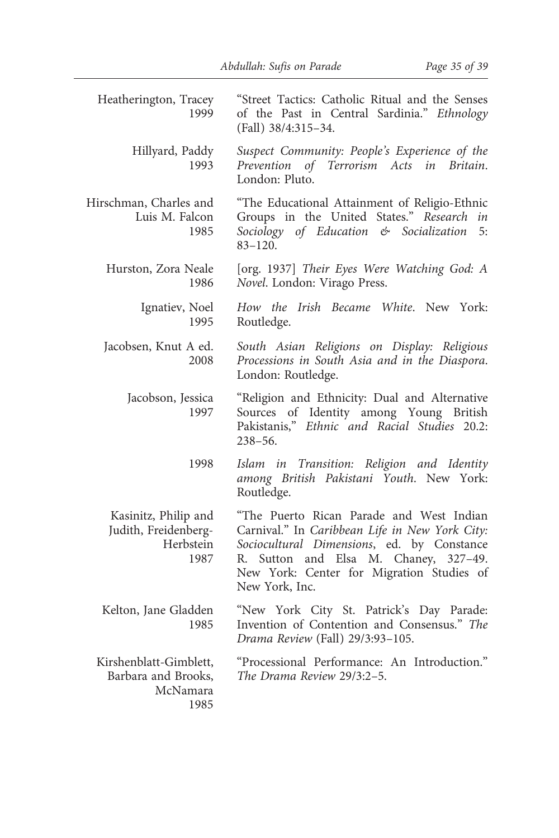| Heatherington, Tracey<br>1999                                     | "Street Tactics: Catholic Ritual and the Senses<br>of the Past in Central Sardinia." Ethnology<br>(Fall) 38/4:315-34.                                                                                                                            |
|-------------------------------------------------------------------|--------------------------------------------------------------------------------------------------------------------------------------------------------------------------------------------------------------------------------------------------|
| Hillyard, Paddy<br>1993                                           | Suspect Community: People's Experience of the<br>Prevention of Terrorism Acts in Britain.<br>London: Pluto.                                                                                                                                      |
| Hirschman, Charles and<br>Luis M. Falcon<br>1985                  | "The Educational Attainment of Religio-Ethnic<br>Groups in the United States." Research in<br>Sociology of Education & Socialization 5:<br>$83 - 120$ .                                                                                          |
| Hurston, Zora Neale<br>1986                                       | [org. 1937] Their Eyes Were Watching God: A<br>Novel. London: Virago Press.                                                                                                                                                                      |
| Ignatiev, Noel<br>1995                                            | How the Irish Became White. New York:<br>Routledge.                                                                                                                                                                                              |
| Jacobsen, Knut A ed.<br>2008                                      | South Asian Religions on Display: Religious<br>Processions in South Asia and in the Diaspora.<br>London: Routledge.                                                                                                                              |
| Jacobson, Jessica<br>1997                                         | "Religion and Ethnicity: Dual and Alternative<br>Sources of Identity among Young British<br>Pakistanis," Ethnic and Racial Studies 20.2:<br>$238 - 56$ .                                                                                         |
| 1998                                                              | Islam in Transition: Religion and Identity<br>among British Pakistani Youth. New York:<br>Routledge.                                                                                                                                             |
| Kasinitz, Philip and<br>Judith, Freidenberg-<br>Herbstein<br>1987 | "The Puerto Rican Parade and West Indian<br>Carnival." In Caribbean Life in New York City:<br>Sociocultural Dimensions, ed. by Constance<br>R. Sutton and Elsa M. Chaney, 327-49.<br>New York: Center for Migration Studies of<br>New York, Inc. |
| Kelton, Jane Gladden<br>1985                                      | "New York City St. Patrick's Day Parade:<br>Invention of Contention and Consensus." The<br>Drama Review (Fall) 29/3:93-105.                                                                                                                      |
| Kirshenblatt-Gimblett,<br>Barbara and Brooks,<br>McNamara<br>1985 | "Processional Performance: An Introduction."<br>The Drama Review 29/3:2–5.                                                                                                                                                                       |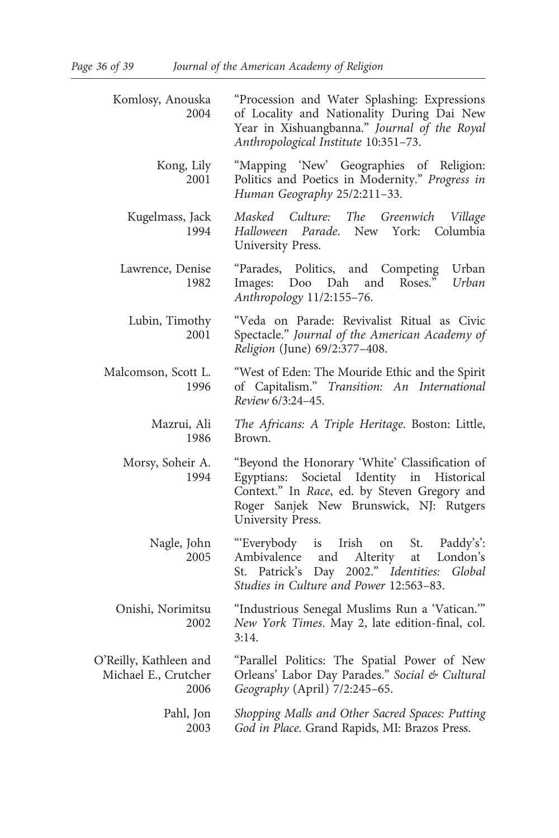| Komlosy, Anouska<br>2004                               | "Procession and Water Splashing: Expressions<br>of Locality and Nationality During Dai New<br>Year in Xishuangbanna." Journal of the Royal<br>Anthropological Institute 10:351-73.                           |
|--------------------------------------------------------|--------------------------------------------------------------------------------------------------------------------------------------------------------------------------------------------------------------|
| Kong, Lily<br>2001                                     | "Mapping 'New' Geographies of Religion:<br>Politics and Poetics in Modernity." Progress in<br>Human Geography 25/2:211-33.                                                                                   |
| Kugelmass, Jack<br>1994                                | Culture:<br>Masked<br>The<br>Greenwich Village<br>Halloween Parade.<br>New York:<br>Columbia<br>University Press.                                                                                            |
| Lawrence, Denise<br>1982                               | "Parades, Politics, and Competing<br>Urban<br>Doo<br>Dah<br>Roses."<br>Urban<br>and<br>Images:<br>Anthropology 11/2:155-76.                                                                                  |
| Lubin, Timothy<br>2001                                 | "Veda on Parade: Revivalist Ritual as Civic<br>Spectacle." Journal of the American Academy of<br>Religion (June) 69/2:377-408.                                                                               |
| Malcomson, Scott L.<br>1996                            | "West of Eden: The Mouride Ethic and the Spirit<br>of Capitalism." Transition: An International<br>Review 6/3:24-45.                                                                                         |
| Mazrui, Ali<br>1986                                    | The Africans: A Triple Heritage. Boston: Little,<br>Brown.                                                                                                                                                   |
| Morsy, Soheir A.<br>1994                               | "Beyond the Honorary 'White' Classification of<br>Egyptians: Societal Identity in Historical<br>Context." In Race, ed. by Steven Gregory and<br>Roger Sanjek New Brunswick, NJ: Rutgers<br>University Press. |
| Nagle, John<br>2005                                    | "Everybody is<br>St.<br>Irish<br>Paddy's':<br>on<br>Alterity<br>Ambivalence<br>and<br>London's<br>at<br>St. Patrick's Day 2002." Identities:<br>Global<br>Studies in Culture and Power 12:563-83.            |
| Onishi, Norimitsu<br>2002                              | "Industrious Senegal Muslims Run a 'Vatican.""<br>New York Times. May 2, late edition-final, col.<br>3:14.                                                                                                   |
| O'Reilly, Kathleen and<br>Michael E., Crutcher<br>2006 | "Parallel Politics: The Spatial Power of New<br>Orleans' Labor Day Parades." Social & Cultural<br>Geography (April) 7/2:245-65.                                                                              |
| Pahl, Jon<br>2003                                      | Shopping Malls and Other Sacred Spaces: Putting<br>God in Place. Grand Rapids, MI: Brazos Press.                                                                                                             |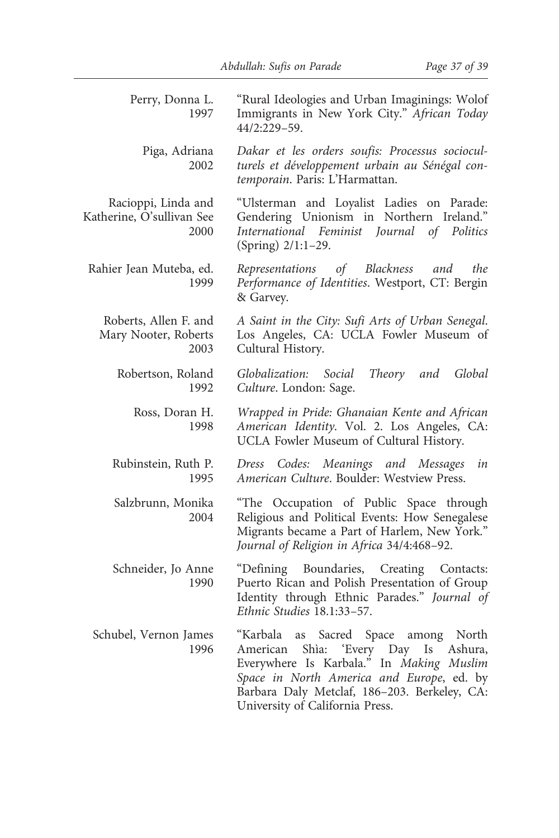| Perry, Donna L.<br>"Rural Ideologies and Urban Imaginings: Wolof<br>Immigrants in New York City." African Today<br>1997<br>44/2:229-59.                                                                                                                                              |                     |
|--------------------------------------------------------------------------------------------------------------------------------------------------------------------------------------------------------------------------------------------------------------------------------------|---------------------|
| Piga, Adriana<br>Dakar et les orders soufis: Processus sociocul-<br>turels et développement urbain au Sénégal con-<br>2002<br>temporain. Paris: L'Harmattan.                                                                                                                         |                     |
| Racioppi, Linda and<br>"Ulsterman and Loyalist Ladies on Parade:<br>Katherine, O'sullivan See<br>Gendering Unionism in Northern Ireland."<br>International Feminist Journal of Politics<br>2000<br>(Spring) 2/1:1-29.                                                                |                     |
| Rahier Jean Muteba, ed.<br>Representations<br>of Blackness<br>Performance of Identities. Westport, CT: Bergin<br>1999<br>& Garvey.                                                                                                                                                   | the<br>and          |
| Roberts, Allen F. and<br>A Saint in the City: Sufi Arts of Urban Senegal.<br>Los Angeles, CA: UCLA Fowler Museum of<br>Mary Nooter, Roberts<br>2003<br>Cultural History.                                                                                                             |                     |
| Robertson, Roland<br>Globalization: Social<br>Theory<br>and<br>1992<br>Culture. London: Sage.                                                                                                                                                                                        | Global              |
| Wrapped in Pride: Ghanaian Kente and African<br>Ross, Doran H.<br>American Identity. Vol. 2. Los Angeles, CA:<br>1998<br>UCLA Fowler Museum of Cultural History.                                                                                                                     |                     |
| Rubinstein, Ruth P.<br>Dress Codes: Meanings and Messages<br>American Culture. Boulder: Westview Press.<br>1995                                                                                                                                                                      | in                  |
| "The Occupation of Public Space through<br>Salzbrunn, Monika<br>Religious and Political Events: How Senegalese<br>2004<br>Migrants became a Part of Harlem, New York."<br>Journal of Religion in Africa 34/4:468-92.                                                                 |                     |
| "Defining Boundaries, Creating Contacts:<br>Schneider, Jo Anne<br>Puerto Rican and Polish Presentation of Group<br>1990<br>Identity through Ethnic Parades." Journal of<br>Ethnic Studies 18.1:33-57.                                                                                |                     |
| Schubel, Vernon James<br>"Karbala<br>Sacred Space<br>among<br>as<br>1996<br>Shìa: 'Every Day<br>American<br>Everywhere Is Karbala." In Making Muslim<br>Space in North America and Europe, ed. by<br>Barbara Daly Metclaf, 186-203. Berkeley, CA:<br>University of California Press. | North<br>Is Ashura, |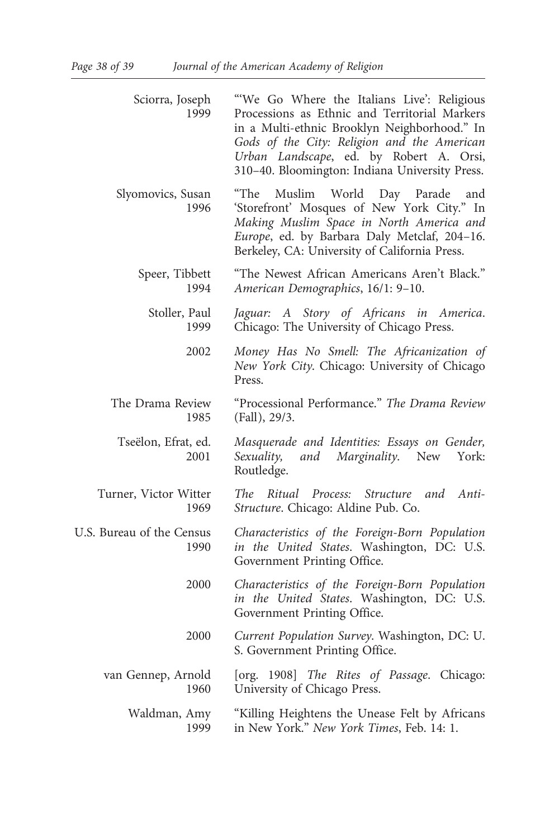| Sciorra, Joseph<br>1999           | "We Go Where the Italians Live': Religious<br>Processions as Ethnic and Territorial Markers<br>in a Multi-ethnic Brooklyn Neighborhood." In<br>Gods of the City: Religion and the American<br>Urban Landscape, ed. by Robert A. Orsi,<br>310-40. Bloomington: Indiana University Press. |
|-----------------------------------|-----------------------------------------------------------------------------------------------------------------------------------------------------------------------------------------------------------------------------------------------------------------------------------------|
| Slyomovics, Susan<br>1996         | "The<br>Muslim<br>World Day Parade<br>and<br>'Storefront' Mosques of New York City." In<br>Making Muslim Space in North America and<br>Europe, ed. by Barbara Daly Metclaf, 204-16.<br>Berkeley, CA: University of California Press.                                                    |
| Speer, Tibbett<br>1994            | "The Newest African Americans Aren't Black."<br>American Demographics, 16/1: 9-10.                                                                                                                                                                                                      |
| Stoller, Paul<br>1999             | Jaguar: A Story of Africans in America.<br>Chicago: The University of Chicago Press.                                                                                                                                                                                                    |
| 2002                              | Money Has No Smell: The Africanization of<br>New York City. Chicago: University of Chicago<br>Press.                                                                                                                                                                                    |
| The Drama Review<br>1985          | "Processional Performance." The Drama Review<br>(Fall), 29/3.                                                                                                                                                                                                                           |
| Tseëlon, Efrat, ed.<br>2001       | Masquerade and Identities: Essays on Gender,<br>and<br>Marginality. New<br>York:<br><i>Sexuality,</i><br>Routledge.                                                                                                                                                                     |
| Turner, Victor Witter<br>1969     | The<br>Ritual Process: Structure and<br>Anti-<br>Structure. Chicago: Aldine Pub. Co.                                                                                                                                                                                                    |
| U.S. Bureau of the Census<br>1990 | Characteristics of the Foreign-Born Population<br>in the United States. Washington, DC: U.S.<br>Government Printing Office.                                                                                                                                                             |
| 2000                              | Characteristics of the Foreign-Born Population<br>in the United States. Washington, DC: U.S.<br>Government Printing Office.                                                                                                                                                             |
| 2000                              | Current Population Survey. Washington, DC: U.<br>S. Government Printing Office.                                                                                                                                                                                                         |
| van Gennep, Arnold<br>1960        | [org. 1908] The Rites of Passage. Chicago:<br>University of Chicago Press.                                                                                                                                                                                                              |
| Waldman, Amy<br>1999              | "Killing Heightens the Unease Felt by Africans<br>in New York." New York Times, Feb. 14: 1.                                                                                                                                                                                             |